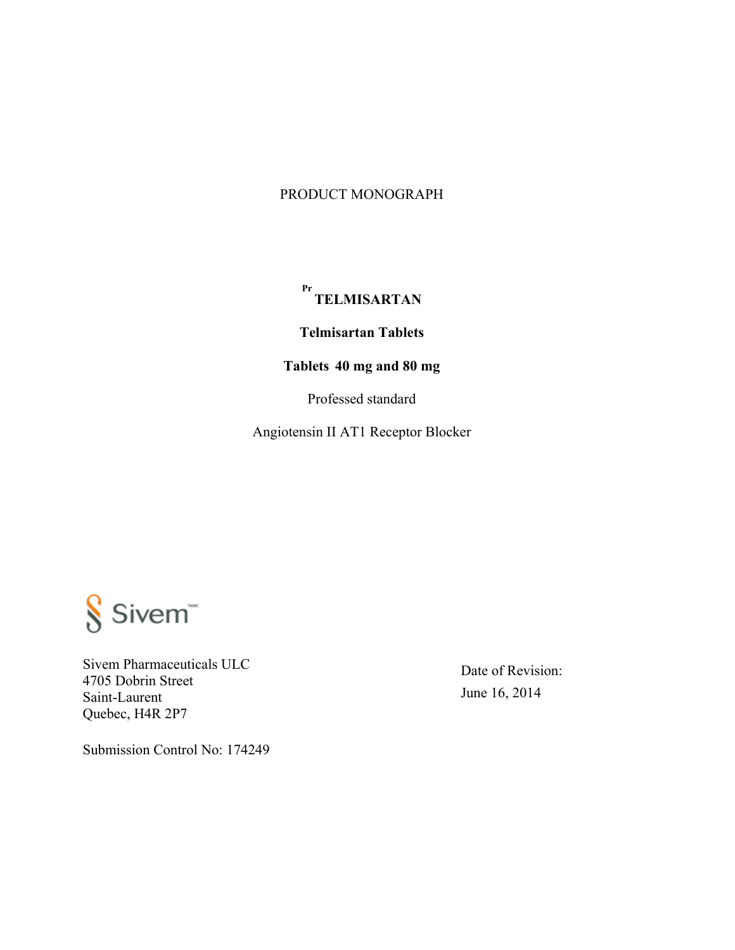#### PRODUCT MONOGRAPH

# **Pr TELMISARTAN**

**Telmisartan Tablets** 

# **Tablets 40 mg and 80 mg**

Professed standard

Angiotensin II AT1 Receptor Blocker



Sivem Pharmaceuticals ULC 4705 Dobrin Street Saint-Laurent Quebec, H4R 2P7

Date of Revision: June 16, 2014

Submission Control No: 174249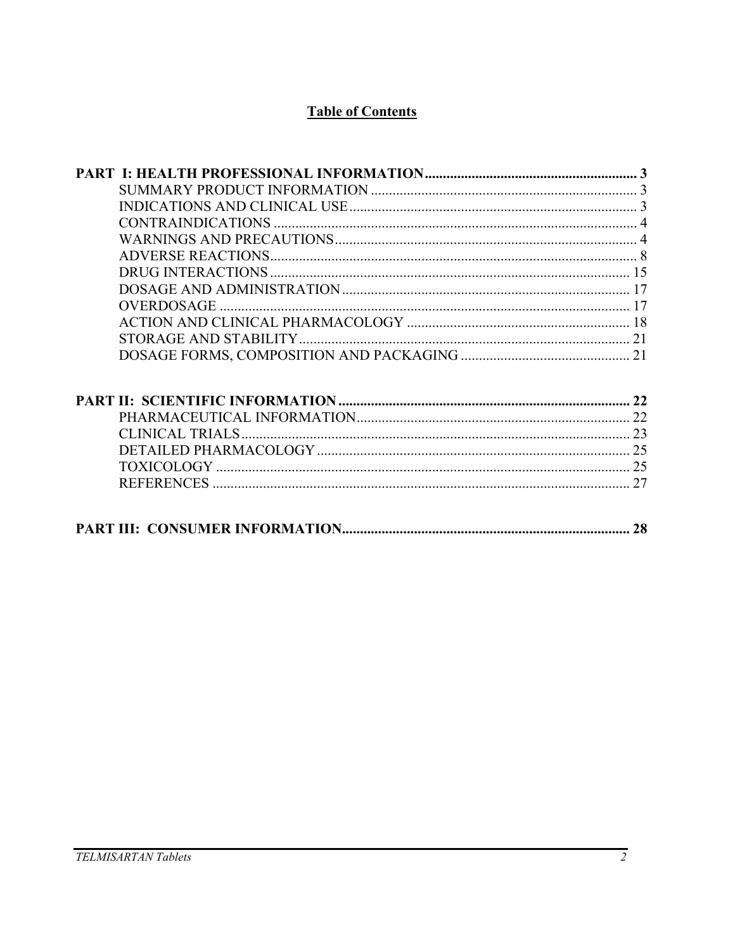# **Table of Contents**

| OVERDOSAGE       |    |
|------------------|----|
|                  |    |
|                  |    |
|                  |    |
|                  |    |
|                  |    |
| CLINICAL TRIALS. |    |
|                  |    |
|                  |    |
|                  |    |
|                  | 28 |
|                  |    |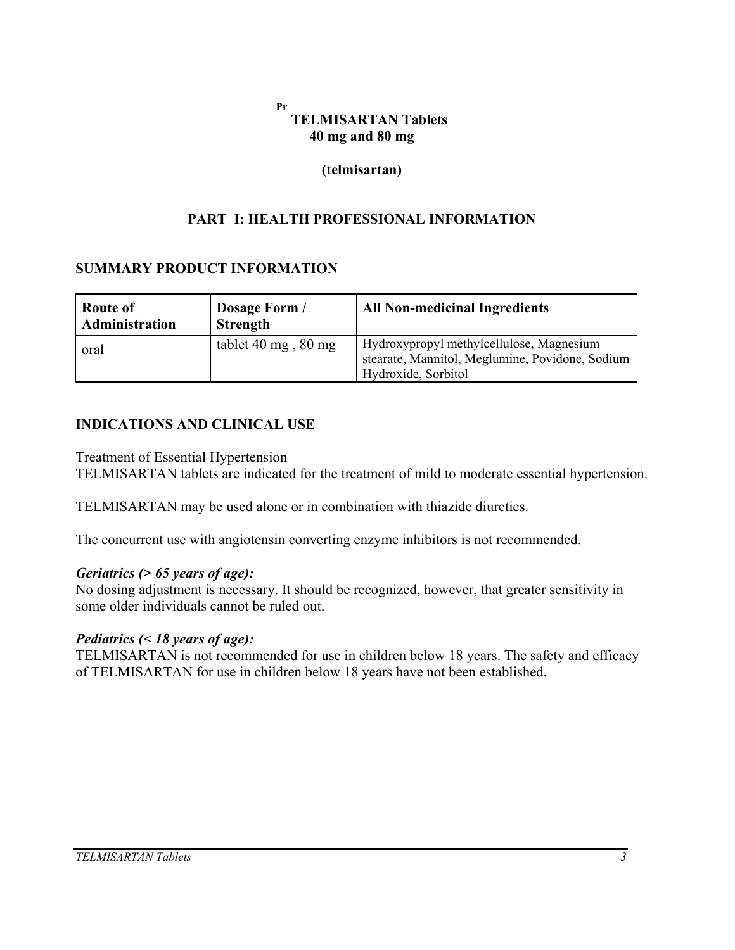#### **Pr TELMISARTAN Tablets 40 mg and 80 mg**

#### **(telmisartan)**

### **PART I: HEALTH PROFESSIONAL INFORMATION**

#### **SUMMARY PRODUCT INFORMATION**

| Route of<br>Administration | Dosage Form /<br><b>Strength</b> | <b>All Non-medicinal Ingredients</b>                                                                               |
|----------------------------|----------------------------------|--------------------------------------------------------------------------------------------------------------------|
| oral                       | tablet 40 mg, $80 \text{ mg}$    | Hydroxypropyl methylcellulose, Magnesium<br>stearate, Mannitol, Meglumine, Povidone, Sodium<br>Hydroxide, Sorbitol |

#### **INDICATIONS AND CLINICAL USE**

Treatment of Essential Hypertension

TELMISARTAN tablets are indicated for the treatment of mild to moderate essential hypertension.

TELMISARTAN may be used alone or in combination with thiazide diuretics.

The concurrent use with angiotensin converting enzyme inhibitors is not recommended.

#### *Geriatrics (> 65 years of age):*

No dosing adjustment is necessary. It should be recognized, however, that greater sensitivity in some older individuals cannot be ruled out.

#### *Pediatrics (< 18 years of age):*

TELMISARTAN is not recommended for use in children below 18 years. The safety and efficacy of TELMISARTAN for use in children below 18 years have not been established.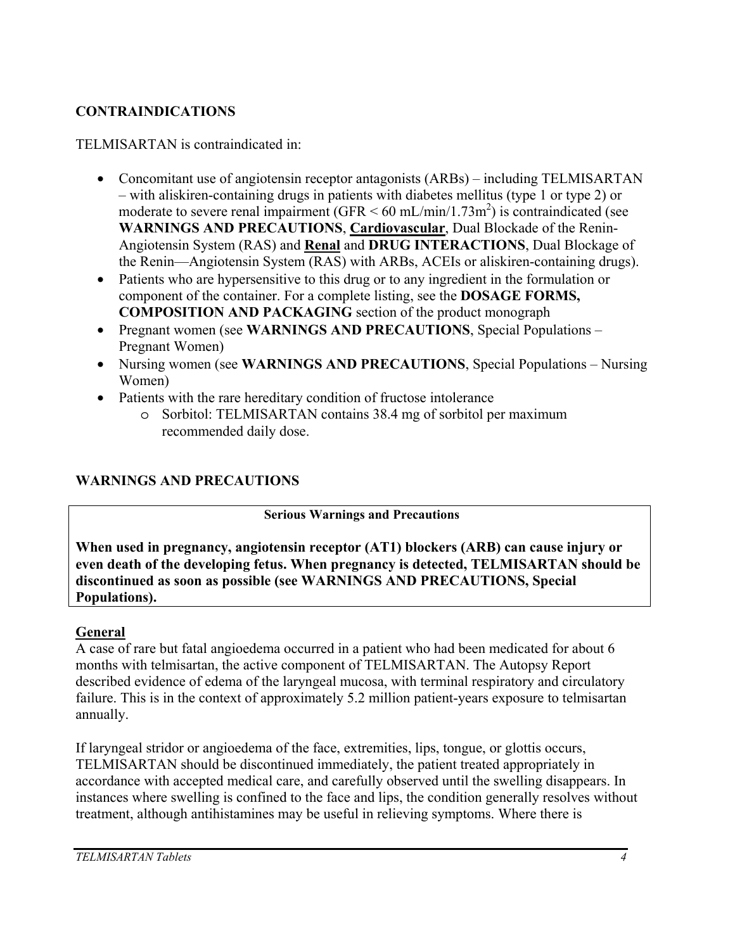# **CONTRAINDICATIONS**

TELMISARTAN is contraindicated in:

- Concomitant use of angiotensin receptor antagonists (ARBs) including TELMISARTAN – with aliskiren-containing drugs in patients with diabetes mellitus (type 1 or type 2) or moderate to severe renal impairment  $(GFR < 60 \text{ mL/min}/1.73 \text{m}^2)$  is contraindicated (see **WARNINGS AND PRECAUTIONS**, **Cardiovascular**, Dual Blockade of the Renin-Angiotensin System (RAS) and **Renal** and **DRUG INTERACTIONS**, Dual Blockage of the Renin—Angiotensin System (RAS) with ARBs, ACEIs or aliskiren-containing drugs).
- Patients who are hypersensitive to this drug or to any ingredient in the formulation or component of the container. For a complete listing, see the **DOSAGE FORMS, COMPOSITION AND PACKAGING** section of the product monograph
- Pregnant women (see **WARNINGS AND PRECAUTIONS**, Special Populations Pregnant Women)
- Nursing women (see **WARNINGS AND PRECAUTIONS**, Special Populations Nursing Women)
- Patients with the rare hereditary condition of fructose intolerance
	- o Sorbitol: TELMISARTAN contains 38.4 mg of sorbitol per maximum recommended daily dose.

# **WARNINGS AND PRECAUTIONS**

**Serious Warnings and Precautions** 

**When used in pregnancy, angiotensin receptor (AT1) blockers (ARB) can cause injury or even death of the developing fetus. When pregnancy is detected, TELMISARTAN should be discontinued as soon as possible (see WARNINGS AND PRECAUTIONS, Special Populations).** 

# **General**

A case of rare but fatal angioedema occurred in a patient who had been medicated for about 6 months with telmisartan, the active component of TELMISARTAN. The Autopsy Report described evidence of edema of the laryngeal mucosa, with terminal respiratory and circulatory failure. This is in the context of approximately 5.2 million patient-years exposure to telmisartan annually.

If laryngeal stridor or angioedema of the face, extremities, lips, tongue, or glottis occurs, TELMISARTAN should be discontinued immediately, the patient treated appropriately in accordance with accepted medical care, and carefully observed until the swelling disappears. In instances where swelling is confined to the face and lips, the condition generally resolves without treatment, although antihistamines may be useful in relieving symptoms. Where there is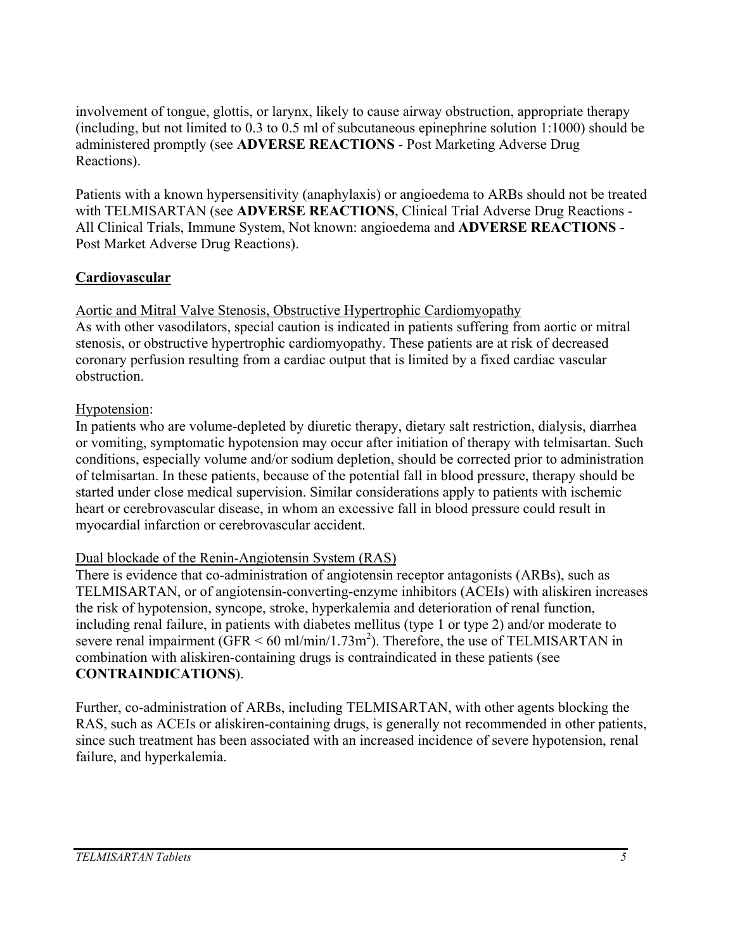involvement of tongue, glottis, or larynx, likely to cause airway obstruction, appropriate therapy (including, but not limited to 0.3 to 0.5 ml of subcutaneous epinephrine solution 1:1000) should be administered promptly (see **ADVERSE REACTIONS** - Post Marketing Adverse Drug Reactions).

Patients with a known hypersensitivity (anaphylaxis) or angioedema to ARBs should not be treated with TELMISARTAN (see **ADVERSE REACTIONS**, Clinical Trial Adverse Drug Reactions - All Clinical Trials, Immune System, Not known: angioedema and **ADVERSE REACTIONS** - Post Market Adverse Drug Reactions).

# **Cardiovascular**

Aortic and Mitral Valve Stenosis, Obstructive Hypertrophic Cardiomyopathy As with other vasodilators, special caution is indicated in patients suffering from aortic or mitral stenosis, or obstructive hypertrophic cardiomyopathy. These patients are at risk of decreased coronary perfusion resulting from a cardiac output that is limited by a fixed cardiac vascular obstruction.

# Hypotension:

In patients who are volume-depleted by diuretic therapy, dietary salt restriction, dialysis, diarrhea or vomiting, symptomatic hypotension may occur after initiation of therapy with telmisartan. Such conditions, especially volume and/or sodium depletion, should be corrected prior to administration of telmisartan. In these patients, because of the potential fall in blood pressure, therapy should be started under close medical supervision. Similar considerations apply to patients with ischemic heart or cerebrovascular disease, in whom an excessive fall in blood pressure could result in myocardial infarction or cerebrovascular accident.

# Dual blockade of the Renin-Angiotensin System (RAS)

There is evidence that co-administration of angiotensin receptor antagonists (ARBs), such as TELMISARTAN, or of angiotensin-converting-enzyme inhibitors (ACEIs) with aliskiren increases the risk of hypotension, syncope, stroke, hyperkalemia and deterioration of renal function, including renal failure, in patients with diabetes mellitus (type 1 or type 2) and/or moderate to severe renal impairment  $(GFR < 60 \text{ ml/min}/1.73 \text{ m}^2)$ . Therefore, the use of TELMISARTAN in combination with aliskiren-containing drugs is contraindicated in these patients (see **CONTRAINDICATIONS**).

Further, co-administration of ARBs, including TELMISARTAN, with other agents blocking the RAS, such as ACEIs or aliskiren-containing drugs, is generally not recommended in other patients, since such treatment has been associated with an increased incidence of severe hypotension, renal failure, and hyperkalemia.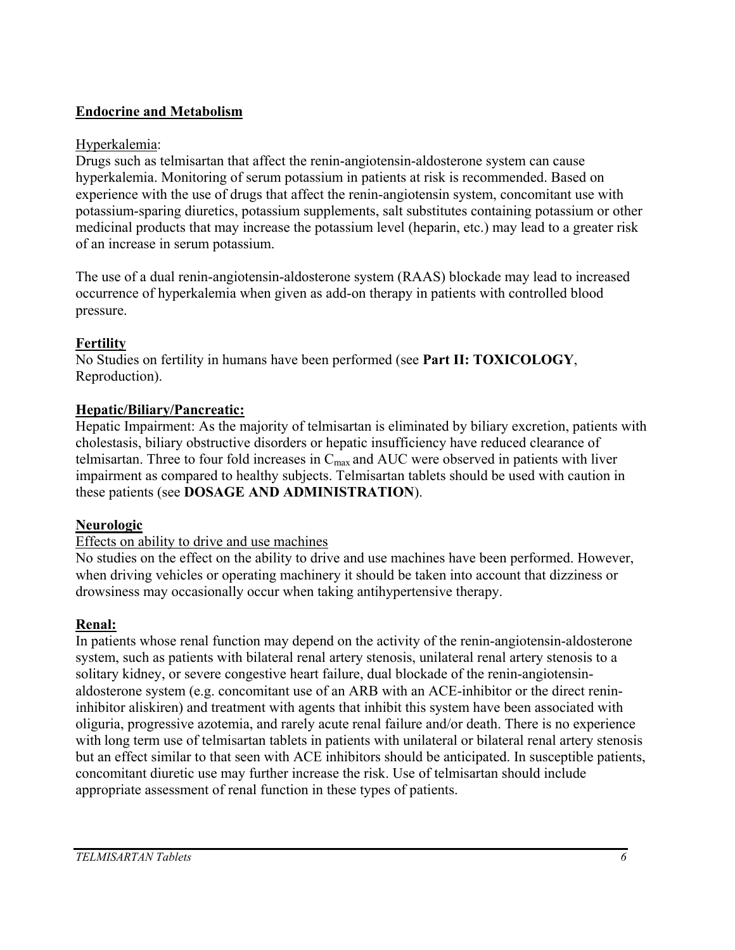# **Endocrine and Metabolism**

# Hyperkalemia:

Drugs such as telmisartan that affect the renin-angiotensin-aldosterone system can cause hyperkalemia. Monitoring of serum potassium in patients at risk is recommended. Based on experience with the use of drugs that affect the renin-angiotensin system, concomitant use with potassium-sparing diuretics, potassium supplements, salt substitutes containing potassium or other medicinal products that may increase the potassium level (heparin, etc.) may lead to a greater risk of an increase in serum potassium.

The use of a dual renin-angiotensin-aldosterone system (RAAS) blockade may lead to increased occurrence of hyperkalemia when given as add-on therapy in patients with controlled blood pressure.

# **Fertility**

No Studies on fertility in humans have been performed (see **Part II: TOXICOLOGY**, Reproduction).

# **Hepatic/Biliary/Pancreatic:**

Hepatic Impairment: As the majority of telmisartan is eliminated by biliary excretion, patients with cholestasis, biliary obstructive disorders or hepatic insufficiency have reduced clearance of telmisartan. Three to four fold increases in  $C_{\text{max}}$  and AUC were observed in patients with liver impairment as compared to healthy subjects. Telmisartan tablets should be used with caution in these patients (see **DOSAGE AND ADMINISTRATION**).

# **Neurologic**

# Effects on ability to drive and use machines

No studies on the effect on the ability to drive and use machines have been performed. However, when driving vehicles or operating machinery it should be taken into account that dizziness or drowsiness may occasionally occur when taking antihypertensive therapy.

# **Renal:**

In patients whose renal function may depend on the activity of the renin-angiotensin-aldosterone system, such as patients with bilateral renal artery stenosis, unilateral renal artery stenosis to a solitary kidney, or severe congestive heart failure, dual blockade of the renin-angiotensinaldosterone system (e.g. concomitant use of an ARB with an ACE-inhibitor or the direct renininhibitor aliskiren) and treatment with agents that inhibit this system have been associated with oliguria, progressive azotemia, and rarely acute renal failure and/or death. There is no experience with long term use of telmisartan tablets in patients with unilateral or bilateral renal artery stenosis but an effect similar to that seen with ACE inhibitors should be anticipated. In susceptible patients, concomitant diuretic use may further increase the risk. Use of telmisartan should include appropriate assessment of renal function in these types of patients.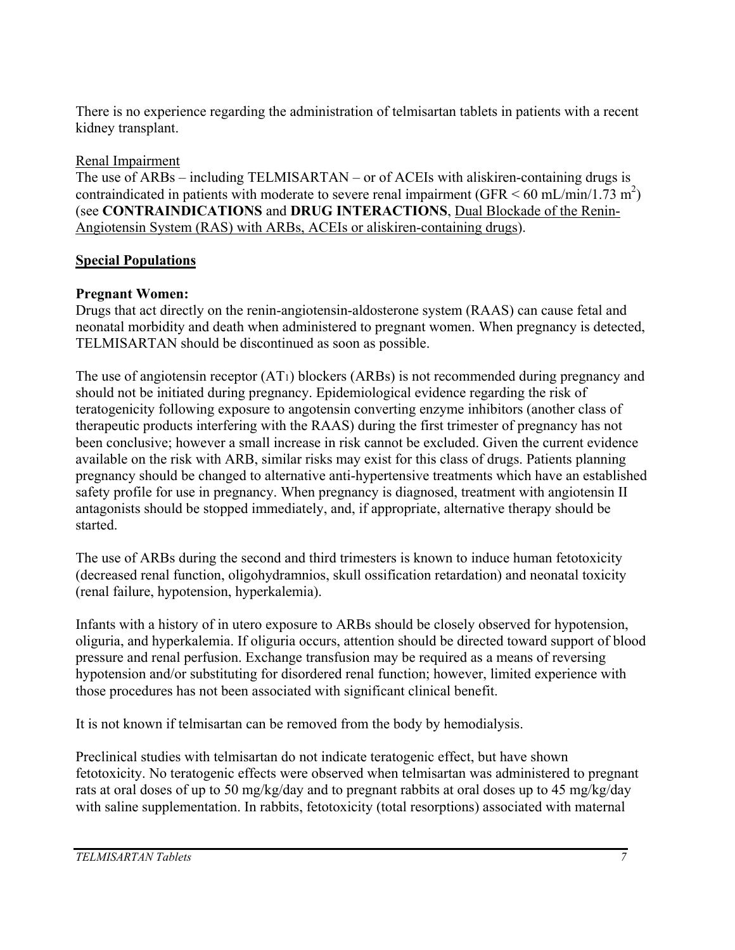There is no experience regarding the administration of telmisartan tablets in patients with a recent kidney transplant.

# Renal Impairment

The use of ARBs – including TELMISARTAN – or of ACEIs with aliskiren-containing drugs is contraindicated in patients with moderate to severe renal impairment  $(GFR < 60 \text{ mL/min}/1.73 \text{ m}^2)$ (see **CONTRAINDICATIONS** and **DRUG INTERACTIONS**, Dual Blockade of the Renin-Angiotensin System (RAS) with ARBs, ACEIs or aliskiren-containing drugs).

# **Special Populations**

# **Pregnant Women:**

Drugs that act directly on the renin-angiotensin-aldosterone system (RAAS) can cause fetal and neonatal morbidity and death when administered to pregnant women. When pregnancy is detected, TELMISARTAN should be discontinued as soon as possible.

The use of angiotensin receptor (AT1) blockers (ARBs) is not recommended during pregnancy and should not be initiated during pregnancy. Epidemiological evidence regarding the risk of teratogenicity following exposure to angotensin converting enzyme inhibitors (another class of therapeutic products interfering with the RAAS) during the first trimester of pregnancy has not been conclusive; however a small increase in risk cannot be excluded. Given the current evidence available on the risk with ARB, similar risks may exist for this class of drugs. Patients planning pregnancy should be changed to alternative anti-hypertensive treatments which have an established safety profile for use in pregnancy. When pregnancy is diagnosed, treatment with angiotensin II antagonists should be stopped immediately, and, if appropriate, alternative therapy should be started.

The use of ARBs during the second and third trimesters is known to induce human fetotoxicity (decreased renal function, oligohydramnios, skull ossification retardation) and neonatal toxicity (renal failure, hypotension, hyperkalemia).

Infants with a history of in utero exposure to ARBs should be closely observed for hypotension, oliguria, and hyperkalemia. If oliguria occurs, attention should be directed toward support of blood pressure and renal perfusion. Exchange transfusion may be required as a means of reversing hypotension and/or substituting for disordered renal function; however, limited experience with those procedures has not been associated with significant clinical benefit.

It is not known if telmisartan can be removed from the body by hemodialysis.

Preclinical studies with telmisartan do not indicate teratogenic effect, but have shown fetotoxicity. No teratogenic effects were observed when telmisartan was administered to pregnant rats at oral doses of up to 50 mg/kg/day and to pregnant rabbits at oral doses up to 45 mg/kg/day with saline supplementation. In rabbits, fetotoxicity (total resorptions) associated with maternal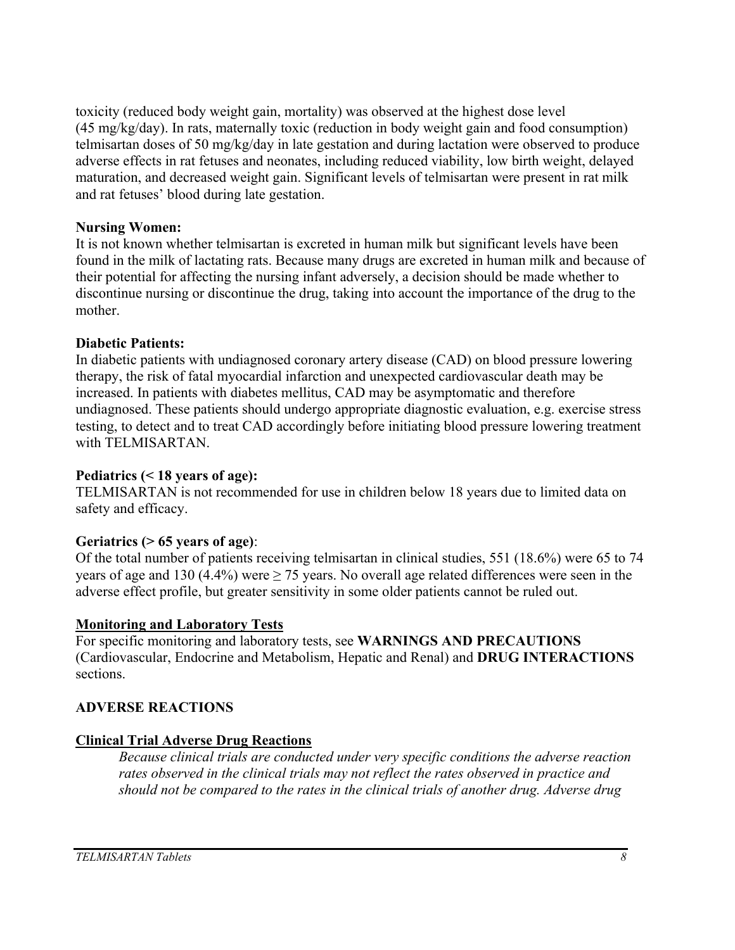toxicity (reduced body weight gain, mortality) was observed at the highest dose level (45 mg/kg/day). In rats, maternally toxic (reduction in body weight gain and food consumption) telmisartan doses of 50 mg/kg/day in late gestation and during lactation were observed to produce adverse effects in rat fetuses and neonates, including reduced viability, low birth weight, delayed maturation, and decreased weight gain. Significant levels of telmisartan were present in rat milk and rat fetuses' blood during late gestation.

#### **Nursing Women:**

It is not known whether telmisartan is excreted in human milk but significant levels have been found in the milk of lactating rats. Because many drugs are excreted in human milk and because of their potential for affecting the nursing infant adversely, a decision should be made whether to discontinue nursing or discontinue the drug, taking into account the importance of the drug to the mother.

#### **Diabetic Patients:**

In diabetic patients with undiagnosed coronary artery disease (CAD) on blood pressure lowering therapy, the risk of fatal myocardial infarction and unexpected cardiovascular death may be increased. In patients with diabetes mellitus, CAD may be asymptomatic and therefore undiagnosed. These patients should undergo appropriate diagnostic evaluation, e.g. exercise stress testing, to detect and to treat CAD accordingly before initiating blood pressure lowering treatment with TELMISARTAN.

#### **Pediatrics (< 18 years of age):**

TELMISARTAN is not recommended for use in children below 18 years due to limited data on safety and efficacy.

#### **Geriatrics (> 65 years of age)**:

Of the total number of patients receiving telmisartan in clinical studies, 551 (18.6%) were 65 to 74 years of age and 130 (4.4%) were  $\geq$  75 years. No overall age related differences were seen in the adverse effect profile, but greater sensitivity in some older patients cannot be ruled out.

#### **Monitoring and Laboratory Tests**

For specific monitoring and laboratory tests, see **WARNINGS AND PRECAUTIONS** (Cardiovascular, Endocrine and Metabolism, Hepatic and Renal) and **DRUG INTERACTIONS** sections.

#### **ADVERSE REACTIONS**

#### **Clinical Trial Adverse Drug Reactions**

*Because clinical trials are conducted under very specific conditions the adverse reaction rates observed in the clinical trials may not reflect the rates observed in practice and should not be compared to the rates in the clinical trials of another drug. Adverse drug*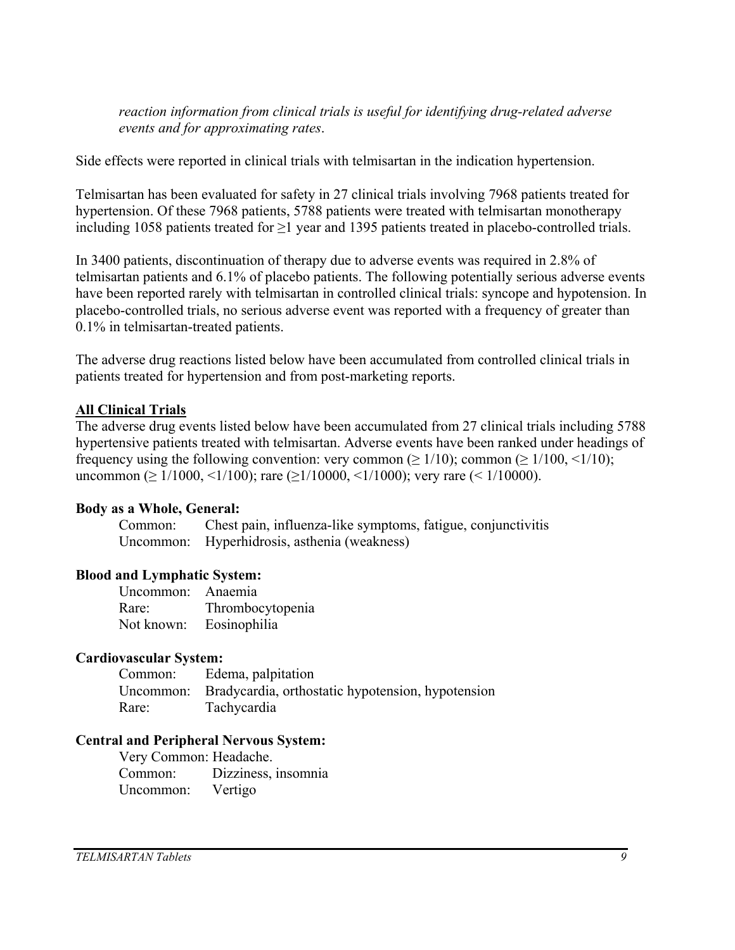*reaction information from clinical trials is useful for identifying drug-related adverse events and for approximating rates*.

Side effects were reported in clinical trials with telmisartan in the indication hypertension.

Telmisartan has been evaluated for safety in 27 clinical trials involving 7968 patients treated for hypertension. Of these 7968 patients, 5788 patients were treated with telmisartan monotherapy including 1058 patients treated for ≥1 year and 1395 patients treated in placebo-controlled trials.

In 3400 patients, discontinuation of therapy due to adverse events was required in 2.8% of telmisartan patients and 6.1% of placebo patients. The following potentially serious adverse events have been reported rarely with telmisartan in controlled clinical trials: syncope and hypotension. In placebo-controlled trials, no serious adverse event was reported with a frequency of greater than 0.1% in telmisartan-treated patients.

The adverse drug reactions listed below have been accumulated from controlled clinical trials in patients treated for hypertension and from post-marketing reports.

### **All Clinical Trials**

The adverse drug events listed below have been accumulated from 27 clinical trials including 5788 hypertensive patients treated with telmisartan. Adverse events have been ranked under headings of frequency using the following convention: very common ( $\geq 1/10$ ); common ( $\geq 1/100, \leq 1/10$ ); uncommon ( $\geq 1/1000$ ,  $\leq 1/100$ ); rare ( $\geq 1/10000$ ,  $\leq 1/1000$ ); very rare ( $\leq 1/10000$ ).

#### **Body as a Whole, General:**

Common: Chest pain, influenza-like symptoms, fatigue, conjunctivitis Uncommon: Hyperhidrosis, asthenia (weakness)

# **Blood and Lymphatic System:**

| Uncommon: Anaemia |                  |
|-------------------|------------------|
| Rare:             | Thrombocytopenia |
| Not known:        | Eosinophilia     |

#### **Cardiovascular System:**

| Common: | Edema, palpitation                                          |
|---------|-------------------------------------------------------------|
|         | Uncommon: Bradycardia, orthostatic hypotension, hypotension |
| Rare:   | <b>Tachycardia</b>                                          |

#### **Central and Peripheral Nervous System:**

Very Common: Headache. Common: Dizziness, insomnia Uncommon: Vertigo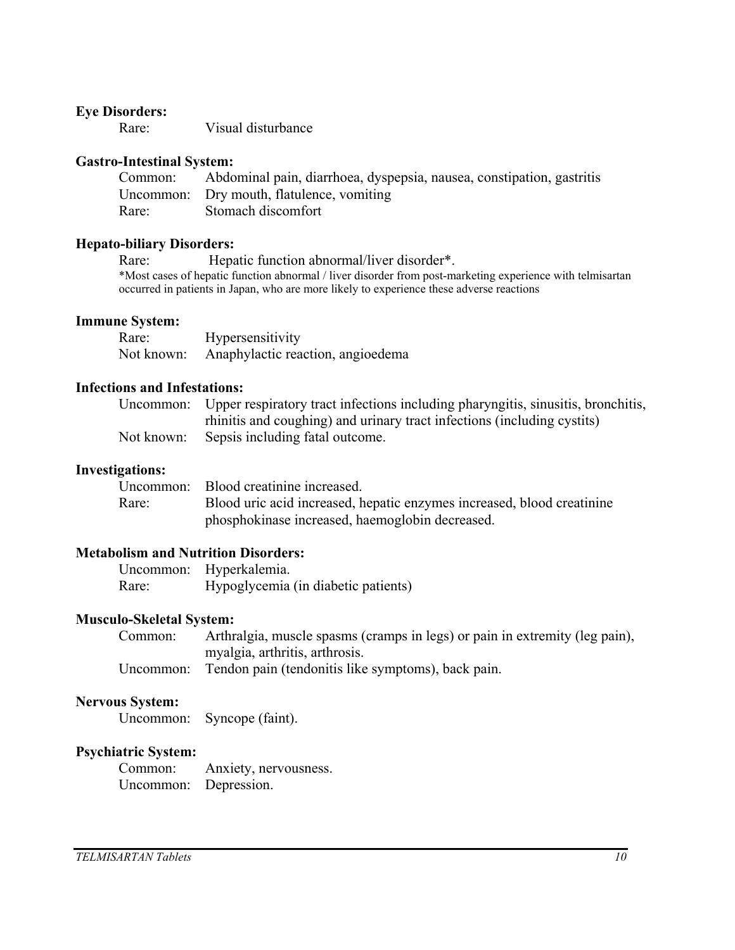#### **Eye Disorders:**

Rare: Visual disturbance

#### **Gastro-Intestinal System:**

| Common: | Abdominal pain, diarrhoea, dyspepsia, nausea, constipation, gastritis |
|---------|-----------------------------------------------------------------------|
|         | Uncommon: Dry mouth, flatulence, vomiting                             |
| Rare:   | Stomach discomfort                                                    |

#### **Hepato-biliary Disorders:**

Rare: Hepatic function abnormal/liver disorder\*. \*Most cases of hepatic function abnormal / liver disorder from post-marketing experience with telmisartan occurred in patients in Japan, who are more likely to experience these adverse reactions

#### **Immune System:**

| Rare:      | Hypersensitivity                  |
|------------|-----------------------------------|
| Not known: | Anaphylactic reaction, angioedema |

#### **Infections and Infestations:**

| Uncommon: Upper respiratory tract infections including pharyngitis, sinusitis, bronchitis, |
|--------------------------------------------------------------------------------------------|
| rhinitis and coughing) and urinary tract infections (including cystits)                    |
| Not known: Sepsis including fatal outcome.                                                 |

#### **Investigations:**

|       | Uncommon: Blood creatinine increased.                                  |
|-------|------------------------------------------------------------------------|
| Rare: | Blood uric acid increased, hepatic enzymes increased, blood creatinine |
|       | phosphokinase increased, haemoglobin decreased.                        |

#### **Metabolism and Nutrition Disorders:**

| Uncommon: | Hyperkalemia.                       |
|-----------|-------------------------------------|
| Rare:     | Hypoglycemia (in diabetic patients) |

#### **Musculo-Skeletal System:**

Common: Arthralgia, muscle spasms (cramps in legs) or pain in extremity (leg pain), myalgia, arthritis, arthrosis.

Uncommon: Tendon pain (tendonitis like symptoms), back pain.

#### **Nervous System:**

Uncommon: Syncope (faint).

#### **Psychiatric System:**

Common: Anxiety, nervousness. Uncommon: Depression.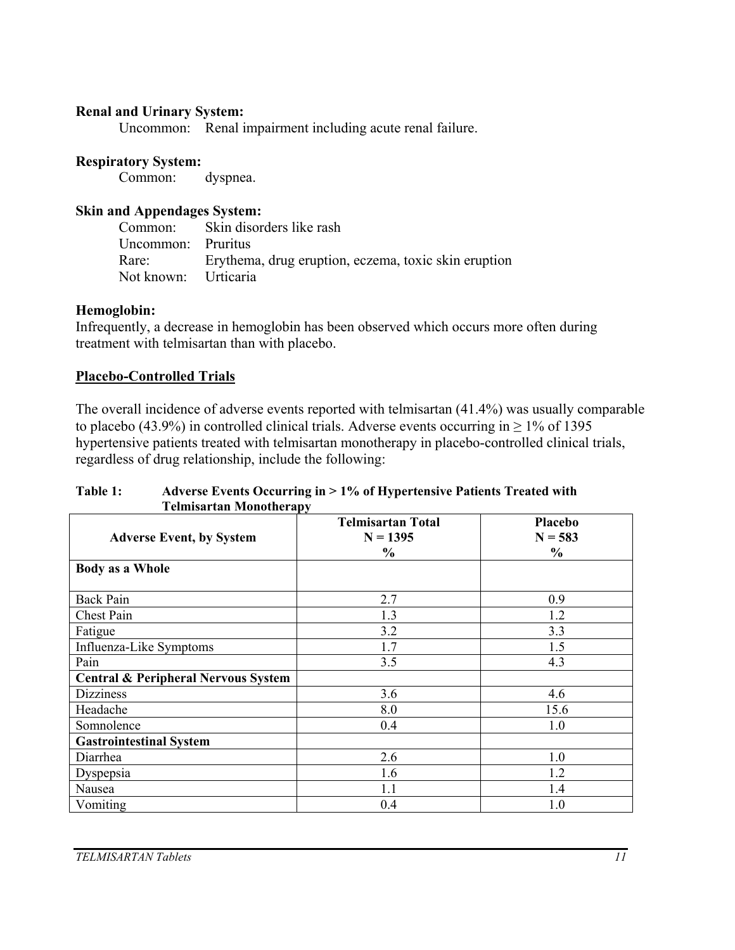#### **Renal and Urinary System:**

Uncommon: Renal impairment including acute renal failure.

#### **Respiratory System:**

Common: dyspnea.

#### **Skin and Appendages System:**

Common: Skin disorders like rash Uncommon: Pruritus Rare: Erythema, drug eruption, eczema, toxic skin eruption Not known: Urticaria

#### **Hemoglobin:**

Infrequently, a decrease in hemoglobin has been observed which occurs more often during treatment with telmisartan than with placebo.

#### **Placebo-Controlled Trials**

The overall incidence of adverse events reported with telmisartan (41.4%) was usually comparable to placebo (43.9%) in controlled clinical trials. Adverse events occurring in  $\geq$  1% of 1395 hypertensive patients treated with telmisartan monotherapy in placebo-controlled clinical trials, regardless of drug relationship, include the following:

#### **Table 1: Adverse Events Occurring in > 1% of Hypertensive Patients Treated with Telmisartan Monotherapy**

| <b>Adverse Event, by System</b>                | $\sim$<br><b>Telmisartan Total</b><br>$N = 1395$<br>$\frac{6}{6}$ | Placebo<br>$N = 583$<br>$\frac{0}{0}$ |
|------------------------------------------------|-------------------------------------------------------------------|---------------------------------------|
| <b>Body as a Whole</b>                         |                                                                   |                                       |
| <b>Back Pain</b>                               | 2.7                                                               | 0.9                                   |
| Chest Pain                                     | 1.3                                                               | 1.2                                   |
| Fatigue                                        | 3.2                                                               | 3.3                                   |
| Influenza-Like Symptoms                        | 1.7                                                               | 1.5                                   |
| Pain                                           | 3.5                                                               | 4.3                                   |
| <b>Central &amp; Peripheral Nervous System</b> |                                                                   |                                       |
| <b>Dizziness</b>                               | 3.6                                                               | 4.6                                   |
| Headache                                       | 8.0                                                               | 15.6                                  |
| Somnolence                                     | 0.4                                                               | 1.0                                   |
| <b>Gastrointestinal System</b>                 |                                                                   |                                       |
| Diarrhea                                       | 2.6                                                               | 1.0                                   |
| Dyspepsia                                      | 1.6                                                               | 1.2                                   |
| Nausea                                         | 1.1                                                               | 1.4                                   |
| Vomiting                                       | 0.4                                                               | 1.0                                   |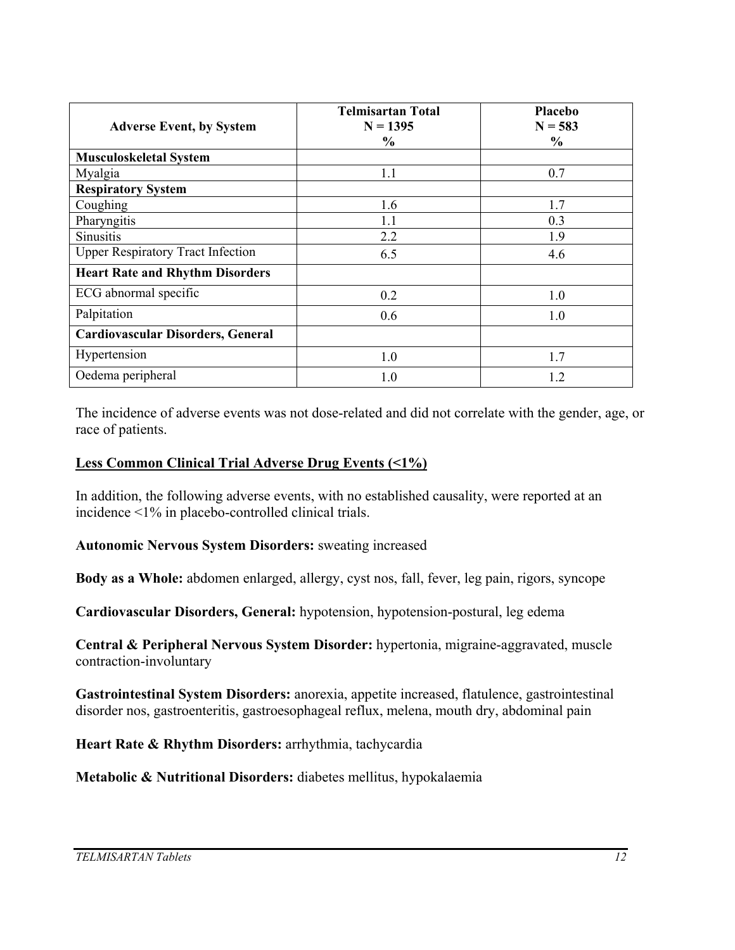| <b>Adverse Event, by System</b>          | <b>Telmisartan Total</b><br>$N = 1395$<br>$\frac{6}{9}$ | Placebo<br>$N = 583$<br>$\frac{6}{6}$ |
|------------------------------------------|---------------------------------------------------------|---------------------------------------|
| <b>Musculoskeletal System</b>            |                                                         |                                       |
| Myalgia                                  | 1.1                                                     | 0.7                                   |
| <b>Respiratory System</b>                |                                                         |                                       |
| Coughing                                 | 1.6                                                     | 1.7                                   |
| Pharyngitis                              | 1.1                                                     | 0.3                                   |
| Sinusitis                                | 2.2                                                     | 1.9                                   |
| <b>Upper Respiratory Tract Infection</b> | 6.5                                                     | 4.6                                   |
| <b>Heart Rate and Rhythm Disorders</b>   |                                                         |                                       |
| ECG abnormal specific                    | 0.2                                                     | 1.0                                   |
| Palpitation                              | 0.6                                                     | 1.0                                   |
| <b>Cardiovascular Disorders, General</b> |                                                         |                                       |
| Hypertension                             | 1.0                                                     | 1.7                                   |
| Oedema peripheral                        | 1.0                                                     | 1.2                                   |

The incidence of adverse events was not dose-related and did not correlate with the gender, age, or race of patients.

#### **Less Common Clinical Trial Adverse Drug Events (<1%)**

In addition, the following adverse events, with no established causality, were reported at an incidence <1% in placebo-controlled clinical trials.

**Autonomic Nervous System Disorders:** sweating increased

**Body as a Whole:** abdomen enlarged, allergy, cyst nos, fall, fever, leg pain, rigors, syncope

**Cardiovascular Disorders, General:** hypotension, hypotension-postural, leg edema

**Central & Peripheral Nervous System Disorder:** hypertonia, migraine-aggravated, muscle contraction-involuntary

**Gastrointestinal System Disorders:** anorexia, appetite increased, flatulence, gastrointestinal disorder nos, gastroenteritis, gastroesophageal reflux, melena, mouth dry, abdominal pain

**Heart Rate & Rhythm Disorders:** arrhythmia, tachycardia

**Metabolic & Nutritional Disorders:** diabetes mellitus, hypokalaemia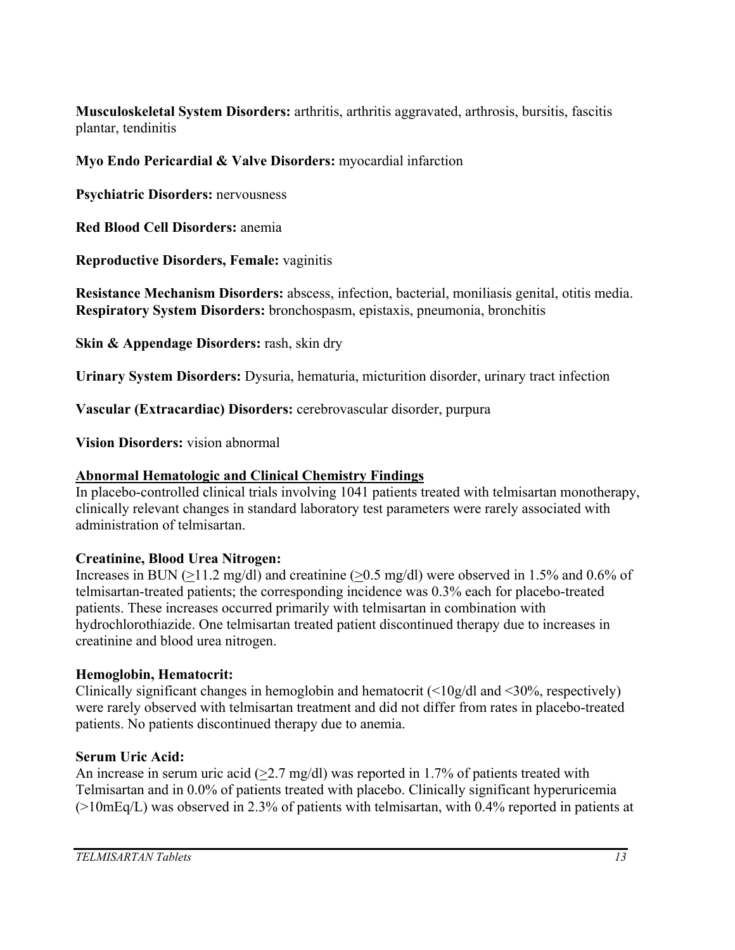**Musculoskeletal System Disorders:** arthritis, arthritis aggravated, arthrosis, bursitis, fascitis plantar, tendinitis

# **Myo Endo Pericardial & Valve Disorders:** myocardial infarction

**Psychiatric Disorders:** nervousness

**Red Blood Cell Disorders:** anemia

**Reproductive Disorders, Female:** vaginitis

**Resistance Mechanism Disorders:** abscess, infection, bacterial, moniliasis genital, otitis media. **Respiratory System Disorders:** bronchospasm, epistaxis, pneumonia, bronchitis

**Skin & Appendage Disorders:** rash, skin dry

**Urinary System Disorders:** Dysuria, hematuria, micturition disorder, urinary tract infection

**Vascular (Extracardiac) Disorders:** cerebrovascular disorder, purpura

**Vision Disorders:** vision abnormal

# **Abnormal Hematologic and Clinical Chemistry Findings**

In placebo-controlled clinical trials involving 1041 patients treated with telmisartan monotherapy, clinically relevant changes in standard laboratory test parameters were rarely associated with administration of telmisartan.

# **Creatinine, Blood Urea Nitrogen:**

Increases in BUN (>11.2 mg/dl) and creatinine (>0.5 mg/dl) were observed in 1.5% and 0.6% of telmisartan-treated patients; the corresponding incidence was 0.3% each for placebo-treated patients. These increases occurred primarily with telmisartan in combination with hydrochlorothiazide. One telmisartan treated patient discontinued therapy due to increases in creatinine and blood urea nitrogen.

# **Hemoglobin, Hematocrit:**

Clinically significant changes in hemoglobin and hematocrit  $\langle \langle 10g/d \rangle$  and  $\langle 30\% \rangle$ , respectively) were rarely observed with telmisartan treatment and did not differ from rates in placebo-treated patients. No patients discontinued therapy due to anemia.

# **Serum Uric Acid:**

An increase in serum uric acid ( $>2.7$  mg/dl) was reported in 1.7% of patients treated with Telmisartan and in 0.0% of patients treated with placebo. Clinically significant hyperuricemia  $(>10mEq/L)$  was observed in 2.3% of patients with telmisartan, with 0.4% reported in patients at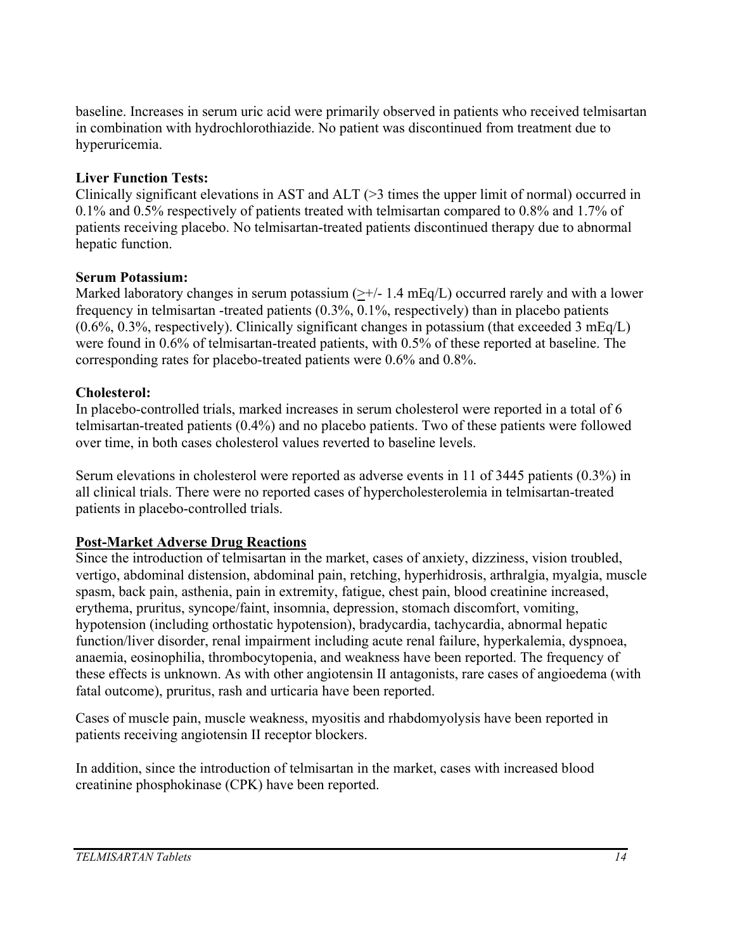baseline. Increases in serum uric acid were primarily observed in patients who received telmisartan in combination with hydrochlorothiazide. No patient was discontinued from treatment due to hyperuricemia.

# **Liver Function Tests:**

Clinically significant elevations in AST and  $ALT$  ( $>3$  times the upper limit of normal) occurred in 0.1% and 0.5% respectively of patients treated with telmisartan compared to 0.8% and 1.7% of patients receiving placebo. No telmisartan-treated patients discontinued therapy due to abnormal hepatic function.

# **Serum Potassium:**

Marked laboratory changes in serum potassium  $(\geq +/-1.4 \text{ mEq/L})$  occurred rarely and with a lower frequency in telmisartan -treated patients (0.3%, 0.1%, respectively) than in placebo patients  $(0.6\%, 0.3\%,$  respectively). Clinically significant changes in potassium (that exceeded 3 mEq/L) were found in 0.6% of telmisartan-treated patients, with 0.5% of these reported at baseline. The corresponding rates for placebo-treated patients were 0.6% and 0.8%.

# **Cholesterol:**

In placebo-controlled trials, marked increases in serum cholesterol were reported in a total of 6 telmisartan-treated patients (0.4%) and no placebo patients. Two of these patients were followed over time, in both cases cholesterol values reverted to baseline levels.

Serum elevations in cholesterol were reported as adverse events in 11 of 3445 patients (0.3%) in all clinical trials. There were no reported cases of hypercholesterolemia in telmisartan-treated patients in placebo-controlled trials.

# **Post-Market Adverse Drug Reactions**

Since the introduction of telmisartan in the market, cases of anxiety, dizziness, vision troubled, vertigo, abdominal distension, abdominal pain, retching, hyperhidrosis, arthralgia, myalgia, muscle spasm, back pain, asthenia, pain in extremity, fatigue, chest pain, blood creatinine increased, erythema, pruritus, syncope/faint, insomnia, depression, stomach discomfort, vomiting, hypotension (including orthostatic hypotension), bradycardia, tachycardia, abnormal hepatic function/liver disorder, renal impairment including acute renal failure, hyperkalemia, dyspnoea, anaemia, eosinophilia, thrombocytopenia, and weakness have been reported. The frequency of these effects is unknown. As with other angiotensin II antagonists, rare cases of angioedema (with fatal outcome), pruritus, rash and urticaria have been reported.

Cases of muscle pain, muscle weakness, myositis and rhabdomyolysis have been reported in patients receiving angiotensin II receptor blockers.

In addition, since the introduction of telmisartan in the market, cases with increased blood creatinine phosphokinase (CPK) have been reported.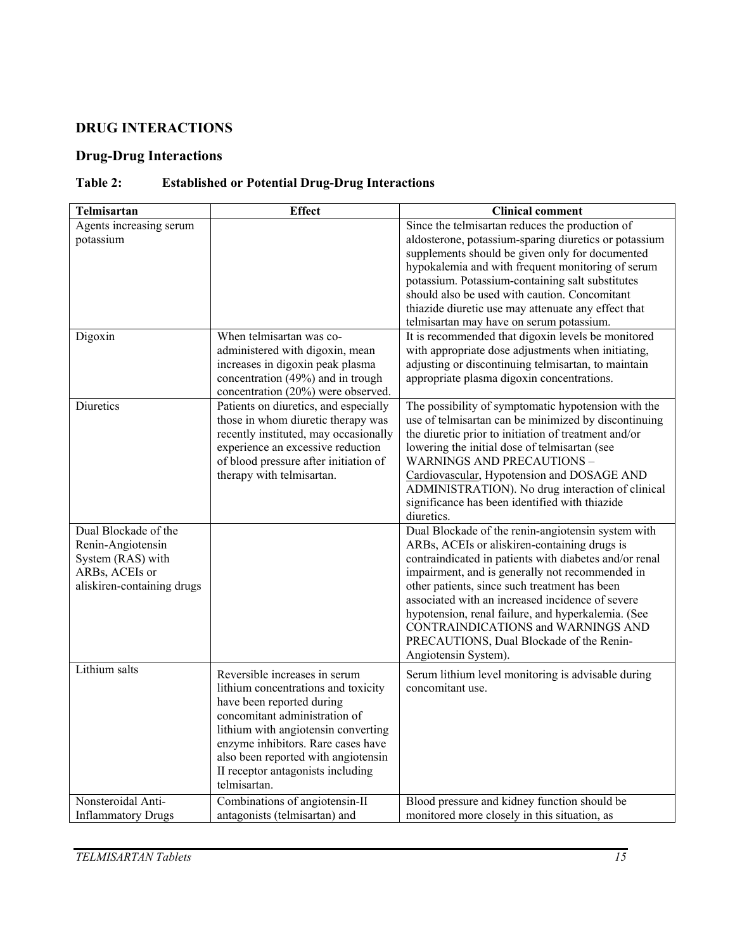# **DRUG INTERACTIONS**

# **Drug-Drug Interactions**

# **Table 2: Established or Potential Drug-Drug Interactions**

| Telmisartan                                                                                                    | <b>Effect</b>                                                                                                                                                                                                                                                                                               | <b>Clinical comment</b>                                                                                                                                                                                                                                                                                                                                                                                                                                                              |
|----------------------------------------------------------------------------------------------------------------|-------------------------------------------------------------------------------------------------------------------------------------------------------------------------------------------------------------------------------------------------------------------------------------------------------------|--------------------------------------------------------------------------------------------------------------------------------------------------------------------------------------------------------------------------------------------------------------------------------------------------------------------------------------------------------------------------------------------------------------------------------------------------------------------------------------|
| Agents increasing serum<br>potassium<br>Digoxin                                                                | When telmisartan was co-                                                                                                                                                                                                                                                                                    | Since the telmisartan reduces the production of<br>aldosterone, potassium-sparing diuretics or potassium<br>supplements should be given only for documented<br>hypokalemia and with frequent monitoring of serum<br>potassium. Potassium-containing salt substitutes<br>should also be used with caution. Concomitant<br>thiazide diuretic use may attenuate any effect that<br>telmisartan may have on serum potassium.<br>It is recommended that digoxin levels be monitored       |
|                                                                                                                | administered with digoxin, mean<br>increases in digoxin peak plasma<br>concentration (49%) and in trough<br>concentration (20%) were observed.                                                                                                                                                              | with appropriate dose adjustments when initiating,<br>adjusting or discontinuing telmisartan, to maintain<br>appropriate plasma digoxin concentrations.                                                                                                                                                                                                                                                                                                                              |
| Diuretics                                                                                                      | Patients on diuretics, and especially<br>those in whom diuretic therapy was<br>recently instituted, may occasionally<br>experience an excessive reduction<br>of blood pressure after initiation of<br>therapy with telmisartan.                                                                             | The possibility of symptomatic hypotension with the<br>use of telmisartan can be minimized by discontinuing<br>the diuretic prior to initiation of treatment and/or<br>lowering the initial dose of telmisartan (see<br><b>WARNINGS AND PRECAUTIONS -</b><br>Cardiovascular, Hypotension and DOSAGE AND<br>ADMINISTRATION). No drug interaction of clinical<br>significance has been identified with thiazide<br>diuretics.                                                          |
| Dual Blockade of the<br>Renin-Angiotensin<br>System (RAS) with<br>ARBs, ACEIs or<br>aliskiren-containing drugs |                                                                                                                                                                                                                                                                                                             | Dual Blockade of the renin-angiotensin system with<br>ARBs, ACEIs or aliskiren-containing drugs is<br>contraindicated in patients with diabetes and/or renal<br>impairment, and is generally not recommended in<br>other patients, since such treatment has been<br>associated with an increased incidence of severe<br>hypotension, renal failure, and hyperkalemia. (See<br>CONTRAINDICATIONS and WARNINGS AND<br>PRECAUTIONS, Dual Blockade of the Renin-<br>Angiotensin System). |
| Lithium salts                                                                                                  | Reversible increases in serum<br>lithium concentrations and toxicity<br>have been reported during<br>concomitant administration of<br>lithium with angiotensin converting<br>enzyme inhibitors. Rare cases have<br>also been reported with angiotensin<br>II receptor antagonists including<br>telmisartan. | Serum lithium level monitoring is advisable during<br>concomitant use.                                                                                                                                                                                                                                                                                                                                                                                                               |
| Nonsteroidal Anti-<br><b>Inflammatory Drugs</b>                                                                | Combinations of angiotensin-II<br>antagonists (telmisartan) and                                                                                                                                                                                                                                             | Blood pressure and kidney function should be<br>monitored more closely in this situation, as                                                                                                                                                                                                                                                                                                                                                                                         |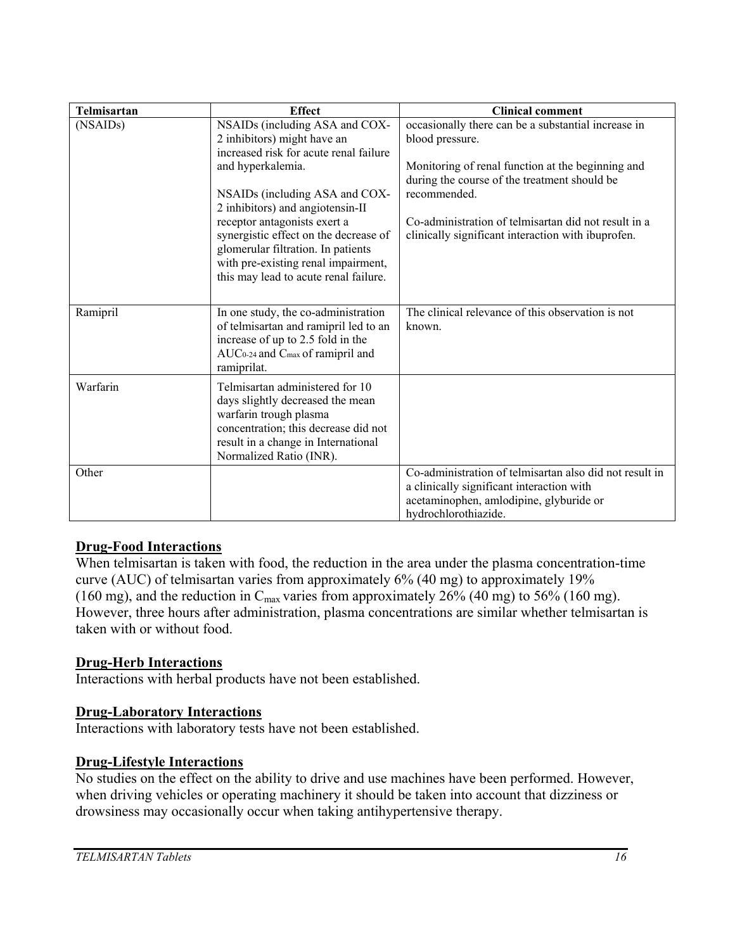| Telmisartan | <b>Effect</b>                                                                                                                                                                                           | <b>Clinical comment</b>                                                                                                                                                 |
|-------------|---------------------------------------------------------------------------------------------------------------------------------------------------------------------------------------------------------|-------------------------------------------------------------------------------------------------------------------------------------------------------------------------|
| (NSAIDs)    | NSAIDs (including ASA and COX-<br>2 inhibitors) might have an<br>increased risk for acute renal failure                                                                                                 | occasionally there can be a substantial increase in<br>blood pressure.                                                                                                  |
|             | and hyperkalemia.<br>NSAIDs (including ASA and COX-                                                                                                                                                     | Monitoring of renal function at the beginning and<br>during the course of the treatment should be<br>recommended.                                                       |
|             | 2 inhibitors) and angiotensin-II<br>receptor antagonists exert a                                                                                                                                        | Co-administration of telmisartan did not result in a                                                                                                                    |
|             | synergistic effect on the decrease of<br>glomerular filtration. In patients<br>with pre-existing renal impairment,<br>this may lead to acute renal failure.                                             | clinically significant interaction with ibuprofen.                                                                                                                      |
| Ramipril    | In one study, the co-administration<br>of telmisartan and ramipril led to an<br>increase of up to 2.5 fold in the<br>AUC0-24 and Cmax of ramipril and<br>ramiprilat.                                    | The clinical relevance of this observation is not<br>known.                                                                                                             |
| Warfarin    | Telmisartan administered for 10<br>days slightly decreased the mean<br>warfarin trough plasma<br>concentration; this decrease did not<br>result in a change in International<br>Normalized Ratio (INR). |                                                                                                                                                                         |
| Other       |                                                                                                                                                                                                         | Co-administration of telmisartan also did not result in<br>a clinically significant interaction with<br>acetaminophen, amlodipine, glyburide or<br>hydrochlorothiazide. |

# **Drug-Food Interactions**

When telmisartan is taken with food, the reduction in the area under the plasma concentration-time curve (AUC) of telmisartan varies from approximately 6% (40 mg) to approximately 19% (160 mg), and the reduction in  $C_{\text{max}}$  varies from approximately 26% (40 mg) to 56% (160 mg). However, three hours after administration, plasma concentrations are similar whether telmisartan is taken with or without food.

#### **Drug-Herb Interactions**

Interactions with herbal products have not been established.

#### **Drug-Laboratory Interactions**

Interactions with laboratory tests have not been established.

#### **Drug-Lifestyle Interactions**

No studies on the effect on the ability to drive and use machines have been performed. However, when driving vehicles or operating machinery it should be taken into account that dizziness or drowsiness may occasionally occur when taking antihypertensive therapy.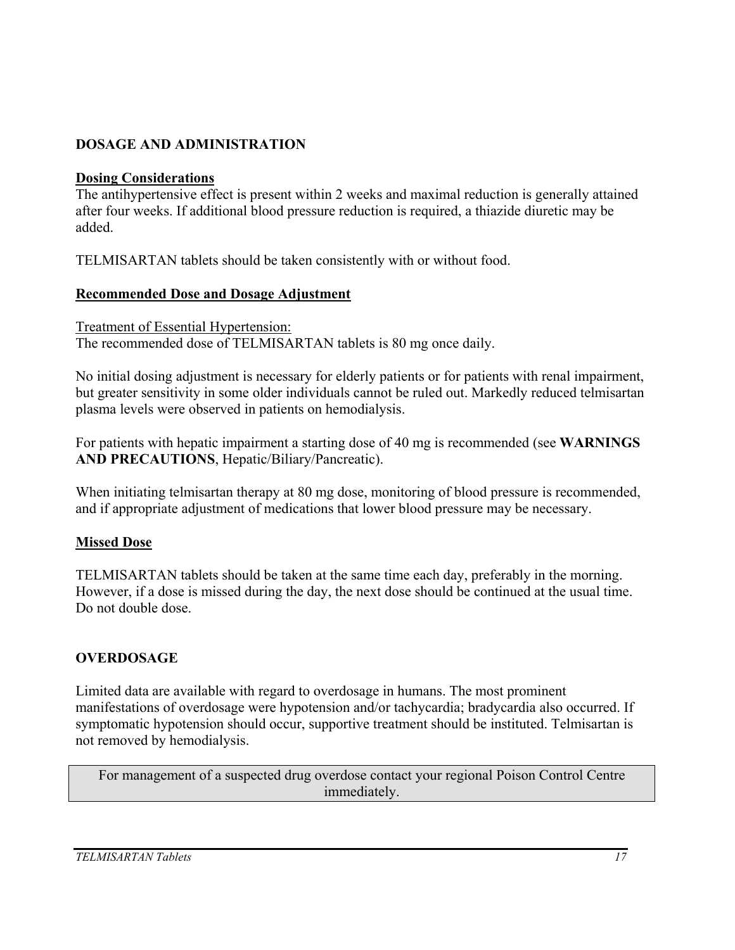# **DOSAGE AND ADMINISTRATION**

#### **Dosing Considerations**

The antihypertensive effect is present within 2 weeks and maximal reduction is generally attained after four weeks. If additional blood pressure reduction is required, a thiazide diuretic may be added.

TELMISARTAN tablets should be taken consistently with or without food.

### **Recommended Dose and Dosage Adjustment**

Treatment of Essential Hypertension: The recommended dose of TELMISARTAN tablets is 80 mg once daily.

No initial dosing adjustment is necessary for elderly patients or for patients with renal impairment, but greater sensitivity in some older individuals cannot be ruled out. Markedly reduced telmisartan plasma levels were observed in patients on hemodialysis.

For patients with hepatic impairment a starting dose of 40 mg is recommended (see **WARNINGS AND PRECAUTIONS**, Hepatic/Biliary/Pancreatic).

When initiating telmisartan therapy at 80 mg dose, monitoring of blood pressure is recommended, and if appropriate adjustment of medications that lower blood pressure may be necessary.

# **Missed Dose**

TELMISARTAN tablets should be taken at the same time each day, preferably in the morning. However, if a dose is missed during the day, the next dose should be continued at the usual time. Do not double dose.

# **OVERDOSAGE**

Limited data are available with regard to overdosage in humans. The most prominent manifestations of overdosage were hypotension and/or tachycardia; bradycardia also occurred. If symptomatic hypotension should occur, supportive treatment should be instituted. Telmisartan is not removed by hemodialysis.

For management of a suspected drug overdose contact your regional Poison Control Centre immediately.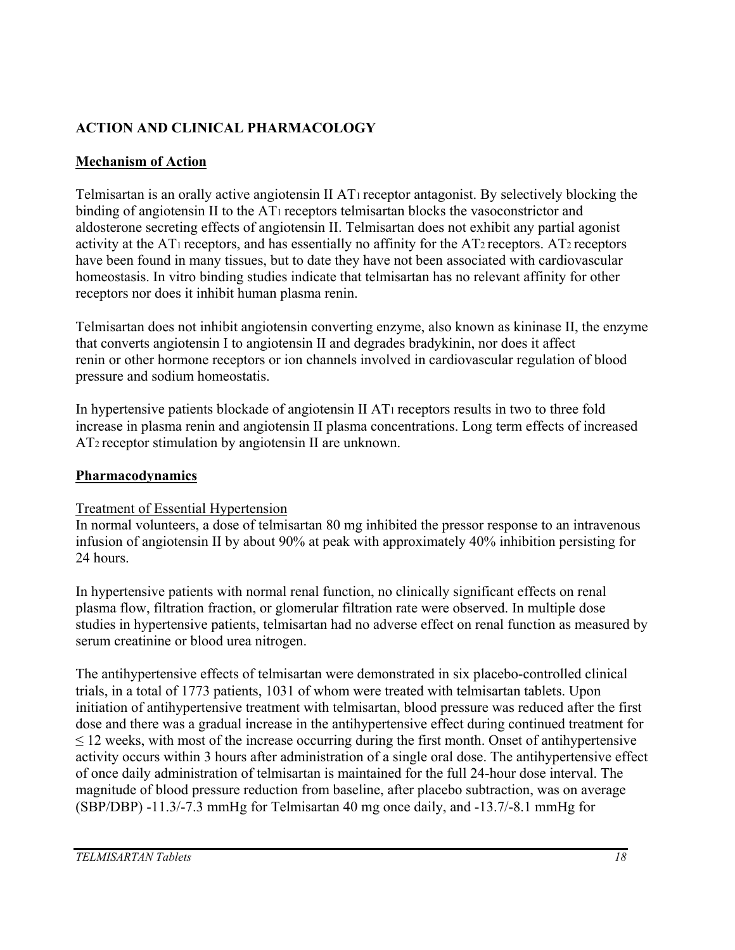# **ACTION AND CLINICAL PHARMACOLOGY**

# **Mechanism of Action**

Telmisartan is an orally active angiotensin II AT1 receptor antagonist. By selectively blocking the binding of angiotensin II to the AT<sub>1</sub> receptors telmisartan blocks the vasoconstrictor and aldosterone secreting effects of angiotensin II. Telmisartan does not exhibit any partial agonist activity at the AT<sub>1</sub> receptors, and has essentially no affinity for the AT<sub>2</sub> receptors. AT<sub>2</sub> receptors have been found in many tissues, but to date they have not been associated with cardiovascular homeostasis. In vitro binding studies indicate that telmisartan has no relevant affinity for other receptors nor does it inhibit human plasma renin.

Telmisartan does not inhibit angiotensin converting enzyme, also known as kininase II, the enzyme that converts angiotensin I to angiotensin II and degrades bradykinin, nor does it affect renin or other hormone receptors or ion channels involved in cardiovascular regulation of blood pressure and sodium homeostatis.

In hypertensive patients blockade of angiotensin II AT1 receptors results in two to three fold increase in plasma renin and angiotensin II plasma concentrations. Long term effects of increased AT2 receptor stimulation by angiotensin II are unknown.

# **Pharmacodynamics**

# Treatment of Essential Hypertension

In normal volunteers, a dose of telmisartan 80 mg inhibited the pressor response to an intravenous infusion of angiotensin II by about 90% at peak with approximately 40% inhibition persisting for 24 hours.

In hypertensive patients with normal renal function, no clinically significant effects on renal plasma flow, filtration fraction, or glomerular filtration rate were observed. In multiple dose studies in hypertensive patients, telmisartan had no adverse effect on renal function as measured by serum creatinine or blood urea nitrogen.

The antihypertensive effects of telmisartan were demonstrated in six placebo-controlled clinical trials, in a total of 1773 patients, 1031 of whom were treated with telmisartan tablets. Upon initiation of antihypertensive treatment with telmisartan, blood pressure was reduced after the first dose and there was a gradual increase in the antihypertensive effect during continued treatment for  $\leq$  12 weeks, with most of the increase occurring during the first month. Onset of antihypertensive activity occurs within 3 hours after administration of a single oral dose. The antihypertensive effect of once daily administration of telmisartan is maintained for the full 24-hour dose interval. The magnitude of blood pressure reduction from baseline, after placebo subtraction, was on average (SBP/DBP) -11.3/-7.3 mmHg for Telmisartan 40 mg once daily, and -13.7/-8.1 mmHg for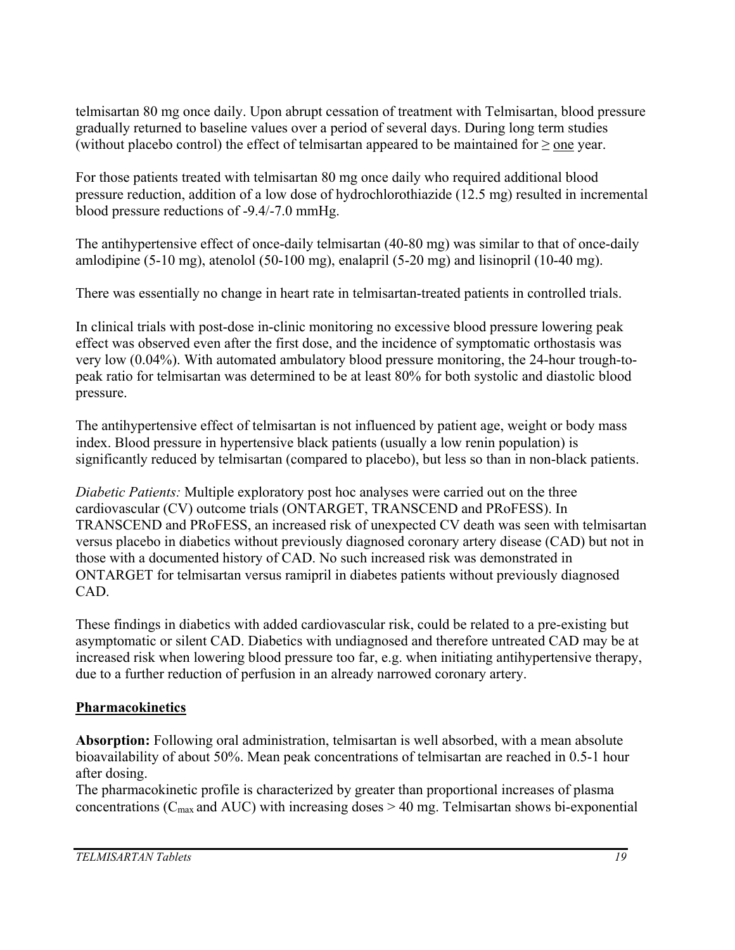telmisartan 80 mg once daily. Upon abrupt cessation of treatment with Telmisartan, blood pressure gradually returned to baseline values over a period of several days. During long term studies (without placebo control) the effect of telmisartan appeared to be maintained for  $\geq$  one year.

For those patients treated with telmisartan 80 mg once daily who required additional blood pressure reduction, addition of a low dose of hydrochlorothiazide (12.5 mg) resulted in incremental blood pressure reductions of -9.4/-7.0 mmHg.

The antihypertensive effect of once-daily telmisartan (40-80 mg) was similar to that of once-daily amlodipine (5-10 mg), atenolol (50-100 mg), enalapril (5-20 mg) and lisinopril (10-40 mg).

There was essentially no change in heart rate in telmisartan-treated patients in controlled trials.

In clinical trials with post-dose in-clinic monitoring no excessive blood pressure lowering peak effect was observed even after the first dose, and the incidence of symptomatic orthostasis was very low (0.04%). With automated ambulatory blood pressure monitoring, the 24-hour trough-topeak ratio for telmisartan was determined to be at least 80% for both systolic and diastolic blood pressure.

The antihypertensive effect of telmisartan is not influenced by patient age, weight or body mass index. Blood pressure in hypertensive black patients (usually a low renin population) is significantly reduced by telmisartan (compared to placebo), but less so than in non-black patients.

*Diabetic Patients:* Multiple exploratory post hoc analyses were carried out on the three cardiovascular (CV) outcome trials (ONTARGET, TRANSCEND and PRoFESS). In TRANSCEND and PRoFESS, an increased risk of unexpected CV death was seen with telmisartan versus placebo in diabetics without previously diagnosed coronary artery disease (CAD) but not in those with a documented history of CAD. No such increased risk was demonstrated in ONTARGET for telmisartan versus ramipril in diabetes patients without previously diagnosed CAD.

These findings in diabetics with added cardiovascular risk, could be related to a pre-existing but asymptomatic or silent CAD. Diabetics with undiagnosed and therefore untreated CAD may be at increased risk when lowering blood pressure too far, e.g. when initiating antihypertensive therapy, due to a further reduction of perfusion in an already narrowed coronary artery.

# **Pharmacokinetics**

**Absorption:** Following oral administration, telmisartan is well absorbed, with a mean absolute bioavailability of about 50%. Mean peak concentrations of telmisartan are reached in 0.5-1 hour after dosing.

The pharmacokinetic profile is characterized by greater than proportional increases of plasma concentrations ( $C_{\text{max}}$  and AUC) with increasing doses  $> 40$  mg. Telmisartan shows bi-exponential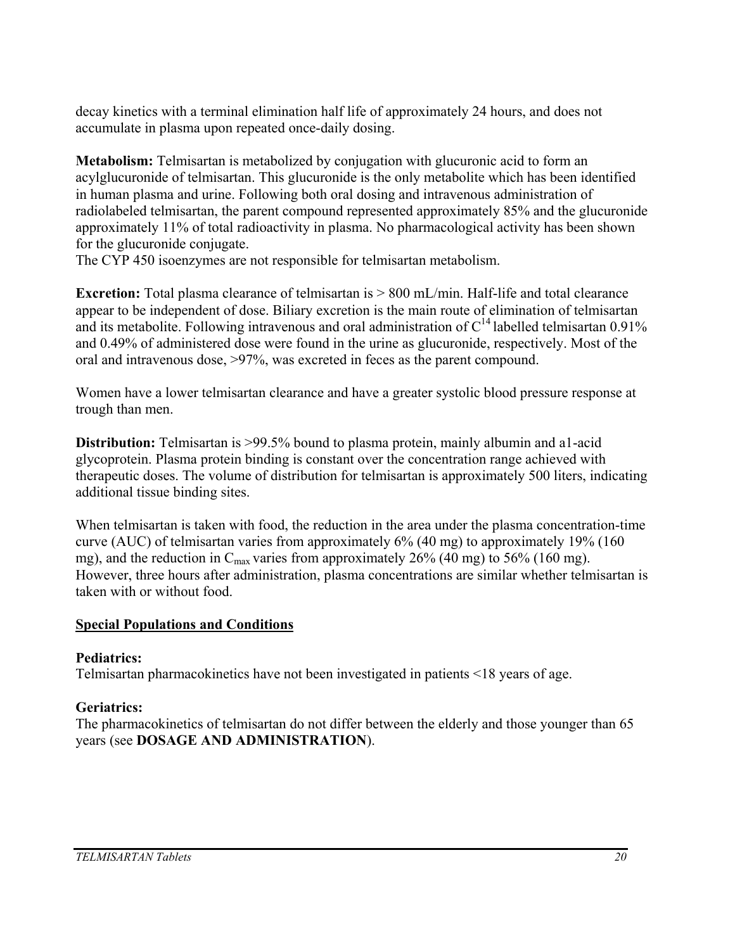decay kinetics with a terminal elimination half life of approximately 24 hours, and does not accumulate in plasma upon repeated once-daily dosing.

**Metabolism:** Telmisartan is metabolized by conjugation with glucuronic acid to form an acylglucuronide of telmisartan. This glucuronide is the only metabolite which has been identified in human plasma and urine. Following both oral dosing and intravenous administration of radiolabeled telmisartan, the parent compound represented approximately 85% and the glucuronide approximately 11% of total radioactivity in plasma. No pharmacological activity has been shown for the glucuronide conjugate.

The CYP 450 isoenzymes are not responsible for telmisartan metabolism.

**Excretion:** Total plasma clearance of telmisartan is  $> 800$  mL/min. Half-life and total clearance appear to be independent of dose. Biliary excretion is the main route of elimination of telmisartan and its metabolite. Following intravenous and oral administration of  $C^{14}$  labelled telmisartan 0.91% and 0.49% of administered dose were found in the urine as glucuronide, respectively. Most of the oral and intravenous dose, >97%, was excreted in feces as the parent compound.

Women have a lower telmisartan clearance and have a greater systolic blood pressure response at trough than men.

**Distribution:** Telmisartan is >99.5% bound to plasma protein, mainly albumin and a1-acid glycoprotein. Plasma protein binding is constant over the concentration range achieved with therapeutic doses. The volume of distribution for telmisartan is approximately 500 liters, indicating additional tissue binding sites.

When telmisartan is taken with food, the reduction in the area under the plasma concentration-time curve (AUC) of telmisartan varies from approximately 6% (40 mg) to approximately 19% (160 mg), and the reduction in  $C_{\text{max}}$  varies from approximately 26% (40 mg) to 56% (160 mg). However, three hours after administration, plasma concentrations are similar whether telmisartan is taken with or without food.

# **Special Populations and Conditions**

# **Pediatrics:**

Telmisartan pharmacokinetics have not been investigated in patients <18 years of age.

# **Geriatrics:**

The pharmacokinetics of telmisartan do not differ between the elderly and those younger than 65 years (see **DOSAGE AND ADMINISTRATION**).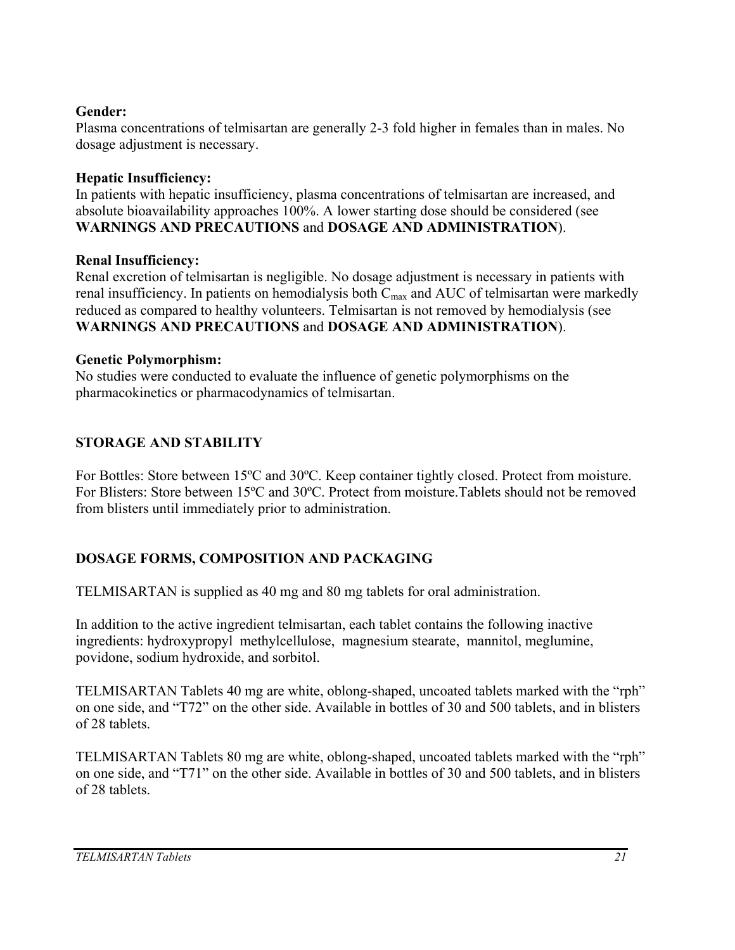#### **Gender:**

Plasma concentrations of telmisartan are generally 2-3 fold higher in females than in males. No dosage adjustment is necessary.

### **Hepatic Insufficiency:**

In patients with hepatic insufficiency, plasma concentrations of telmisartan are increased, and absolute bioavailability approaches 100%. A lower starting dose should be considered (see **WARNINGS AND PRECAUTIONS** and **DOSAGE AND ADMINISTRATION**).

### **Renal Insufficiency:**

Renal excretion of telmisartan is negligible. No dosage adjustment is necessary in patients with renal insufficiency. In patients on hemodialysis both  $C_{\text{max}}$  and AUC of telmisartan were markedly reduced as compared to healthy volunteers. Telmisartan is not removed by hemodialysis (see **WARNINGS AND PRECAUTIONS** and **DOSAGE AND ADMINISTRATION**).

### **Genetic Polymorphism:**

No studies were conducted to evaluate the influence of genetic polymorphisms on the pharmacokinetics or pharmacodynamics of telmisartan.

# **STORAGE AND STABILITY**

For Bottles: Store between 15ºC and 30ºC. Keep container tightly closed. Protect from moisture. For Blisters: Store between 15ºC and 30ºC. Protect from moisture.Tablets should not be removed from blisters until immediately prior to administration.

# **DOSAGE FORMS, COMPOSITION AND PACKAGING**

TELMISARTAN is supplied as 40 mg and 80 mg tablets for oral administration.

In addition to the active ingredient telmisartan, each tablet contains the following inactive ingredients: hydroxypropyl methylcellulose, magnesium stearate, mannitol, meglumine, povidone, sodium hydroxide, and sorbitol.

TELMISARTAN Tablets 40 mg are white, oblong-shaped, uncoated tablets marked with the "rph" on one side, and "T72" on the other side. Available in bottles of 30 and 500 tablets, and in blisters of 28 tablets.

TELMISARTAN Tablets 80 mg are white, oblong-shaped, uncoated tablets marked with the "rph" on one side, and "T71" on the other side. Available in bottles of 30 and 500 tablets, and in blisters of 28 tablets.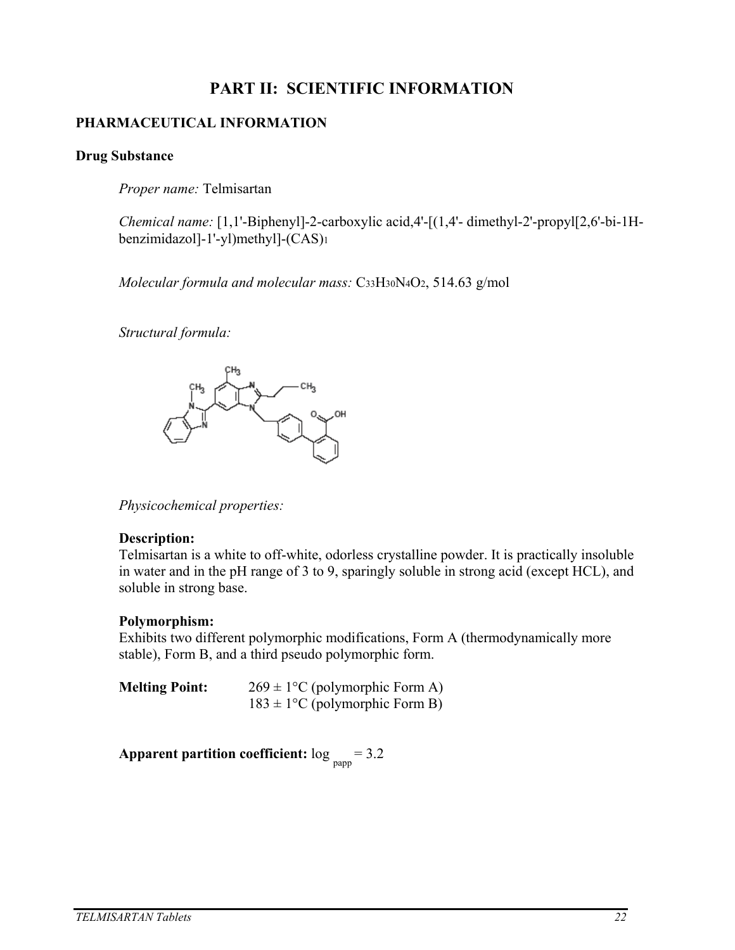# **PART II: SCIENTIFIC INFORMATION**

### **PHARMACEUTICAL INFORMATION**

#### **Drug Substance**

*Proper name:* Telmisartan

*Chemical name:* [1,1'-Biphenyl]-2-carboxylic acid,4'-[(1,4'- dimethyl-2'-propyl[2,6'-bi-1H benzimidazol]-1'-yl)methyl]-(CAS)1

*Molecular formula and molecular mass:* C33H30N4O2, 514.63 g/mol

*Structural formula:*



*Physicochemical properties:* 

#### **Description:**

Telmisartan is a white to off-white, odorless crystalline powder. It is practically insoluble in water and in the pH range of 3 to 9, sparingly soluble in strong acid (except HCL), and soluble in strong base.

#### **Polymorphism:**

Exhibits two different polymorphic modifications, Form A (thermodynamically more stable), Form B, and a third pseudo polymorphic form.

| <b>Melting Point:</b> | $269 \pm 1$ °C (polymorphic Form A) |  |  |  |
|-----------------------|-------------------------------------|--|--|--|
|                       | $183 \pm 1$ °C (polymorphic Form B) |  |  |  |

**Apparent partition coefficient:** log papp = 3.2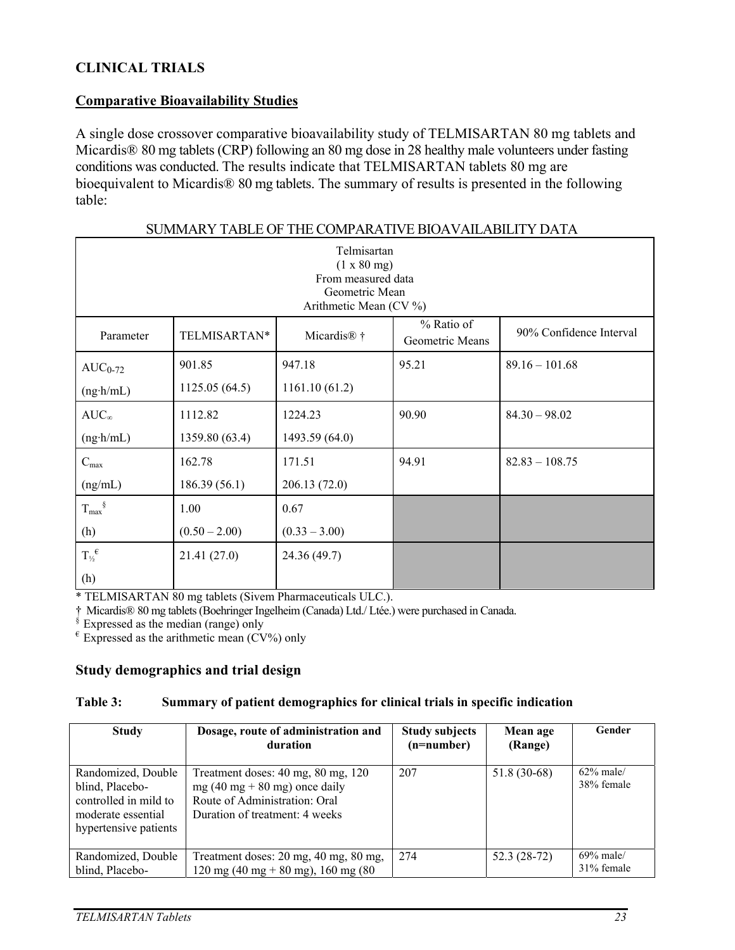### **CLINICAL TRIALS**

#### **Comparative Bioavailability Studies**

A single dose crossover comparative bioavailability study of TELMISARTAN 80 mg tablets and Micardis<sup>®</sup> 80 mg tablets (CRP) following an 80 mg dose in 28 healthy male volunteers under fasting conditions was conducted. The results indicate that TELMISARTAN tablets 80 mg are bioequivalent to Micardis® 80 mg tablets. The summary of results is presented in the following table:

| осинчена парее от тие совитичать роступие ющи гранта                                         |                 |                                 |                               |                         |  |
|----------------------------------------------------------------------------------------------|-----------------|---------------------------------|-------------------------------|-------------------------|--|
| Telmisartan<br>(1 x 80 mg)<br>From measured data<br>Geometric Mean<br>Arithmetic Mean (CV %) |                 |                                 |                               |                         |  |
| Parameter                                                                                    | TELMISARTAN*    | Micardis <sup>®</sup> $\dagger$ | % Ratio of<br>Geometric Means | 90% Confidence Interval |  |
| $AUC_{0-72}$                                                                                 | 901.85          | 947.18                          | 95.21                         | $89.16 - 101.68$        |  |
| $(ng \cdot h/mL)$                                                                            | 1125.05(64.5)   | 1161.10(61.2)                   |                               |                         |  |
| $AUC_{\infty}$                                                                               | 1112.82         | 1224.23                         | 90.90                         | $84.30 - 98.02$         |  |
| $(ng \cdot h/mL)$                                                                            | 1359.80 (63.4)  | 1493.59 (64.0)                  |                               |                         |  |
| $C_{\text{max}}$                                                                             | 162.78          | 171.51                          | 94.91                         | $82.83 - 108.75$        |  |
| (ng/mL)                                                                                      | 186.39(56.1)    | 206.13(72.0)                    |                               |                         |  |
| $T_{\text{max}}^{\S}$                                                                        | 1.00            | 0.67                            |                               |                         |  |
| (h)                                                                                          | $(0.50 - 2.00)$ | $(0.33 - 3.00)$                 |                               |                         |  |
| $T_{\frac{1}{2}}^{\epsilon}$                                                                 | 21.41(27.0)     | 24.36 (49.7)                    |                               |                         |  |
| (h)                                                                                          |                 |                                 |                               |                         |  |

#### SUMMARY TABLE OF THE COMPARATIVE BIOAVAILABILITY DATA

\* TELMISARTAN 80 mg tablets (Sivem Pharmaceuticals ULC.).

† Micardis® 80 mg tablets (Boehringer Ingelheim (Canada) Ltd./ Ltée.) were purchased in Canada.

 $\frac{1}{2}$  Expressed as the median (range) only

 $e$  Expressed as the arithmetic mean (CV%) only

#### **Study demographics and trial design**

#### **Table 3: Summary of patient demographics for clinical trials in specific indication**

| <b>Study</b>                                                                                                  | Dosage, route of administration and<br>duration                                                                                         | <b>Study subjects</b><br>$(n=number)$ | Mean age<br>(Range) | Gender                     |
|---------------------------------------------------------------------------------------------------------------|-----------------------------------------------------------------------------------------------------------------------------------------|---------------------------------------|---------------------|----------------------------|
| Randomized, Double<br>blind, Placebo-<br>controlled in mild to<br>moderate essential<br>hypertensive patients | Treatment doses: 40 mg, 80 mg, 120<br>$mg(40 mg + 80 mg)$ once daily<br>Route of Administration: Oral<br>Duration of treatment: 4 weeks | 207                                   | 51.8 (30-68)        | $62\%$ male/<br>38% female |
| Randomized, Double<br>blind, Placebo-                                                                         | Treatment doses: 20 mg, 40 mg, 80 mg,<br>120 mg (40 mg + 80 mg), 160 mg (80                                                             | 274                                   | $52.3(28-72)$       | $69\%$ male/<br>31% female |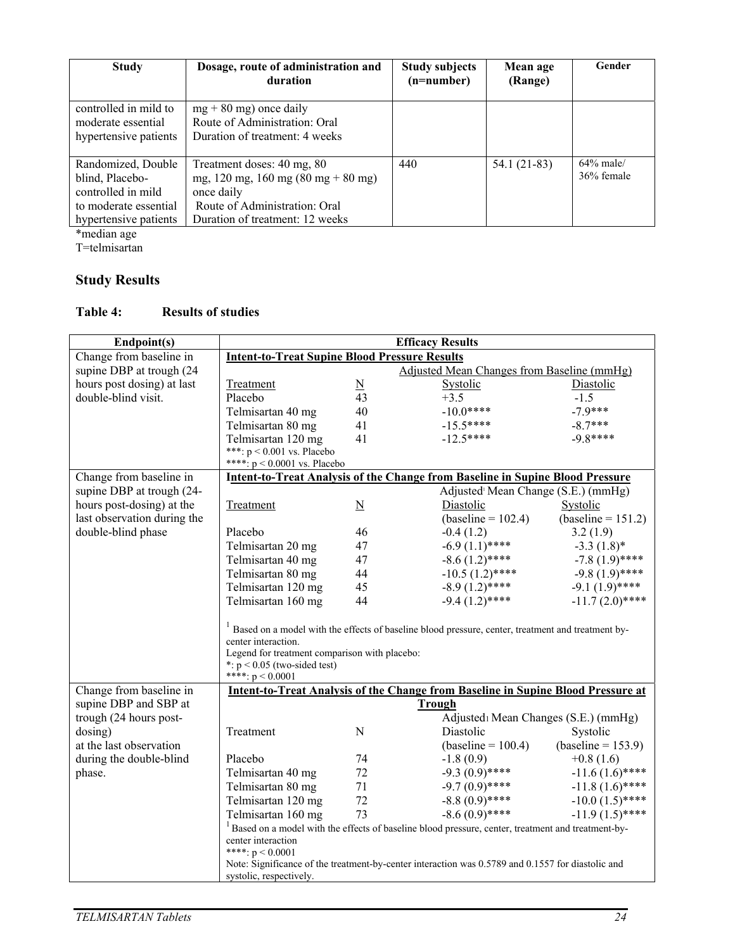| <b>Study</b>                                                                                                  | Dosage, route of administration and<br>duration                                                                                                    | <b>Study subjects</b><br>$(n=number)$ | Mean age<br>(Range) | Gender                     |
|---------------------------------------------------------------------------------------------------------------|----------------------------------------------------------------------------------------------------------------------------------------------------|---------------------------------------|---------------------|----------------------------|
| controlled in mild to<br>moderate essential                                                                   | $mg + 80$ mg) once daily<br>Route of Administration: Oral                                                                                          |                                       |                     |                            |
| hypertensive patients                                                                                         | Duration of treatment: 4 weeks                                                                                                                     |                                       |                     |                            |
| Randomized, Double<br>blind, Placebo-<br>controlled in mild<br>to moderate essential<br>hypertensive patients | Treatment doses: 40 mg, 80<br>mg, 120 mg, 160 mg (80 mg + 80 mg)<br>once daily<br>Route of Administration: Oral<br>Duration of treatment: 12 weeks | 440                                   | 54.1 (21-83)        | $64\%$ male/<br>36% female |

\*median age

T=telmisartan

# **Study Results**

### **Table 4: Results of studies**

| Endpoint(s)                                                                                                                  | <b>Efficacy Results</b>                                                                                                                                         |                            |                                                                                         |                      |  |  |
|------------------------------------------------------------------------------------------------------------------------------|-----------------------------------------------------------------------------------------------------------------------------------------------------------------|----------------------------|-----------------------------------------------------------------------------------------|----------------------|--|--|
| Change from baseline in                                                                                                      | <b>Intent-to-Treat Supine Blood Pressure Results</b>                                                                                                            |                            |                                                                                         |                      |  |  |
| supine DBP at trough (24                                                                                                     | Adjusted Mean Changes from Baseline (mmHg)                                                                                                                      |                            |                                                                                         |                      |  |  |
| hours post dosing) at last                                                                                                   | Treatment                                                                                                                                                       | ${\underline{\mathbf{N}}}$ | Systolic                                                                                | Diastolic            |  |  |
| double-blind visit.                                                                                                          | Placebo                                                                                                                                                         | 43                         | $+3.5$                                                                                  | $-1.5$               |  |  |
|                                                                                                                              | Telmisartan 40 mg                                                                                                                                               | 40                         | $-10.0***$                                                                              | $-7.9***$            |  |  |
|                                                                                                                              | Telmisartan 80 mg                                                                                                                                               | 41                         | $-15.5***$                                                                              | $-8.7***$            |  |  |
|                                                                                                                              | Telmisartan 120 mg                                                                                                                                              | 41                         | $-12.5***$                                                                              | $-9.8***$            |  |  |
|                                                                                                                              | ***: $p < 0.001$ vs. Placebo                                                                                                                                    |                            |                                                                                         |                      |  |  |
|                                                                                                                              | ****: $p < 0.0001$ vs. Placebo                                                                                                                                  |                            |                                                                                         |                      |  |  |
| Change from baseline in                                                                                                      |                                                                                                                                                                 |                            | <b>Intent-to-Treat Analysis of the Change from Baseline in Supine Blood Pressure</b>    |                      |  |  |
| supine DBP at trough (24-                                                                                                    |                                                                                                                                                                 |                            | Adjusted <sup>1</sup> Mean Change (S.E.) (mmHg)                                         |                      |  |  |
| hours post-dosing) at the                                                                                                    | Treatment                                                                                                                                                       | $\underline{\mathbf{N}}$   | Diastolic                                                                               | Systolic             |  |  |
| last observation during the                                                                                                  |                                                                                                                                                                 |                            | $(baseline = 102.4)$                                                                    | $(baseline = 151.2)$ |  |  |
| double-blind phase                                                                                                           | Placebo                                                                                                                                                         | 46                         | $-0.4(1.2)$                                                                             | 3.2(1.9)             |  |  |
|                                                                                                                              | Telmisartan 20 mg                                                                                                                                               | 47                         | $-6.9(1.1)$ ****                                                                        | $-3.3(1.8)$ *        |  |  |
|                                                                                                                              | Telmisartan 40 mg                                                                                                                                               | 47                         | $-8.6(1.2)$ ****                                                                        | $-7.8(1.9)$ ****     |  |  |
|                                                                                                                              | Telmisartan 80 mg                                                                                                                                               | 44                         | $-10.5(1.2)$ ****                                                                       | $-9.8(1.9)$ ****     |  |  |
|                                                                                                                              | Telmisartan 120 mg                                                                                                                                              | 45                         | $-8.9(1.2)$ ****                                                                        | $-9.1(1.9)$ ****     |  |  |
|                                                                                                                              | Telmisartan 160 mg                                                                                                                                              | 44                         | $-9.4(1.2)$ ****                                                                        | $-11.7(2.0)$ ****    |  |  |
|                                                                                                                              | <sup>1</sup> Based on a model with the effects of baseline blood pressure, center, treatment and treatment by-<br>Legend for treatment comparison with placebo: |                            |                                                                                         |                      |  |  |
| Change from baseline in                                                                                                      | ****: $p < 0.0001$                                                                                                                                              |                            | <b>Intent-to-Treat Analysis of the Change from Baseline in Supine Blood Pressure at</b> |                      |  |  |
| supine DBP and SBP at                                                                                                        |                                                                                                                                                                 |                            | <b>Trough</b>                                                                           |                      |  |  |
| trough (24 hours post-                                                                                                       |                                                                                                                                                                 |                            | Adjusted: Mean Changes (S.E.) (mmHg)                                                    |                      |  |  |
| dosing)                                                                                                                      | Treatment                                                                                                                                                       | ${\bf N}$                  | Diastolic                                                                               | Systolic             |  |  |
| at the last observation                                                                                                      |                                                                                                                                                                 |                            | $(baseline = 100.4)$                                                                    | $(baseline = 153.9)$ |  |  |
| during the double-blind                                                                                                      | Placebo                                                                                                                                                         | 74                         | $-1.8(0.9)$                                                                             | $+0.8(1.6)$          |  |  |
| phase.                                                                                                                       | Telmisartan 40 mg                                                                                                                                               | 72                         | $-9.3(0.9)$ ****                                                                        | $-11.6(1.6)$ ****    |  |  |
|                                                                                                                              | Telmisartan 80 mg                                                                                                                                               | 71                         | $-9.7(0.9)$ ****                                                                        | $-11.8(1.6)$ ****    |  |  |
|                                                                                                                              | Telmisartan 120 mg                                                                                                                                              | 72                         | $-8.8(0.9)$ ****                                                                        | $-10.0(1.5)$ ****    |  |  |
|                                                                                                                              | Telmisartan 160 mg                                                                                                                                              | 73                         | $-8.6(0.9)$ ****                                                                        | $-11.9(1.5)$ ****    |  |  |
|                                                                                                                              | $1$ Based on a model with the effects of baseline blood pressure, center, treatment and treatment-by-<br>center interaction<br>****: $p < 0.0001$               |                            |                                                                                         |                      |  |  |
| Note: Significance of the treatment-by-center interaction was 0.5789 and 0.1557 for diastolic and<br>systolic, respectively. |                                                                                                                                                                 |                            |                                                                                         |                      |  |  |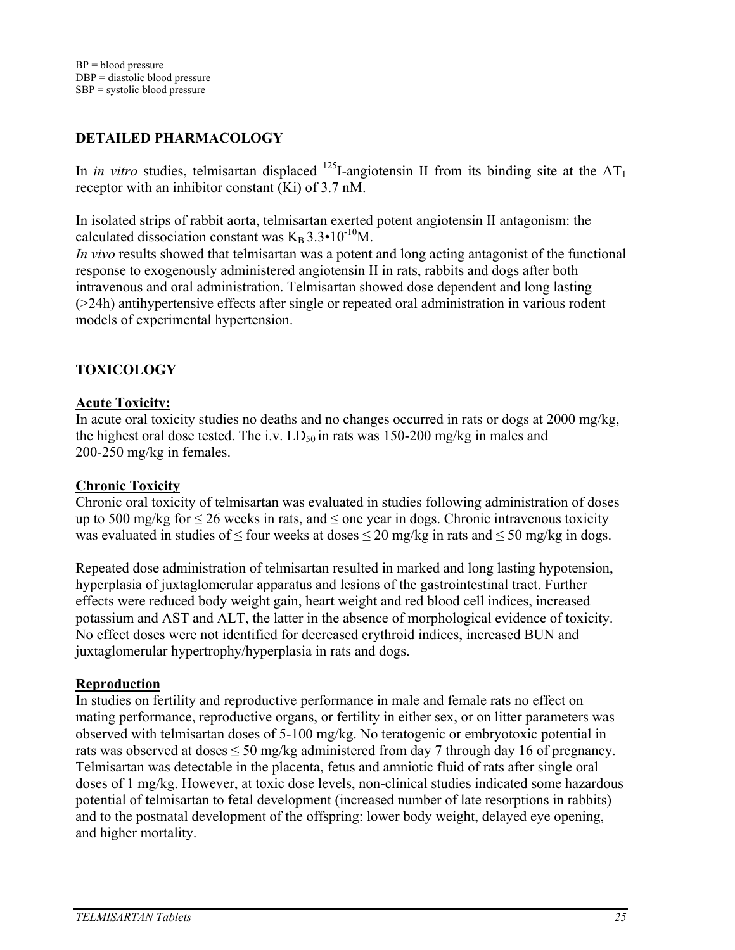# **DETAILED PHARMACOLOGY**

In *in vitro* studies, telmisartan displaced <sup>125</sup>I-angiotensin II from its binding site at the  $AT_1$ receptor with an inhibitor constant (Ki) of 3.7 nM.

In isolated strips of rabbit aorta, telmisartan exerted potent angiotensin II antagonism: the calculated dissociation constant was  $K_B 3.3 \cdot 10^{-10} M$ .

*In vivo* results showed that telmisartan was a potent and long acting antagonist of the functional response to exogenously administered angiotensin II in rats, rabbits and dogs after both intravenous and oral administration. Telmisartan showed dose dependent and long lasting (>24h) antihypertensive effects after single or repeated oral administration in various rodent models of experimental hypertension.

# **TOXICOLOGY**

#### **Acute Toxicity:**

In acute oral toxicity studies no deaths and no changes occurred in rats or dogs at 2000 mg/kg, the highest oral dose tested. The i.v.  $LD_{50}$  in rats was 150-200 mg/kg in males and 200-250 mg/kg in females.

#### **Chronic Toxicity**

Chronic oral toxicity of telmisartan was evaluated in studies following administration of doses up to 500 mg/kg for  $\leq$  26 weeks in rats, and  $\leq$  one year in dogs. Chronic intravenous toxicity was evaluated in studies of  $\leq$  four weeks at doses  $\leq$  20 mg/kg in rats and  $\leq$  50 mg/kg in dogs.

Repeated dose administration of telmisartan resulted in marked and long lasting hypotension, hyperplasia of juxtaglomerular apparatus and lesions of the gastrointestinal tract. Further effects were reduced body weight gain, heart weight and red blood cell indices, increased potassium and AST and ALT, the latter in the absence of morphological evidence of toxicity. No effect doses were not identified for decreased erythroid indices, increased BUN and juxtaglomerular hypertrophy/hyperplasia in rats and dogs.

#### **Reproduction**

In studies on fertility and reproductive performance in male and female rats no effect on mating performance, reproductive organs, or fertility in either sex, or on litter parameters was observed with telmisartan doses of 5-100 mg/kg. No teratogenic or embryotoxic potential in rats was observed at doses  $\leq 50$  mg/kg administered from day 7 through day 16 of pregnancy. Telmisartan was detectable in the placenta, fetus and amniotic fluid of rats after single oral doses of 1 mg/kg. However, at toxic dose levels, non-clinical studies indicated some hazardous potential of telmisartan to fetal development (increased number of late resorptions in rabbits) and to the postnatal development of the offspring: lower body weight, delayed eye opening, and higher mortality.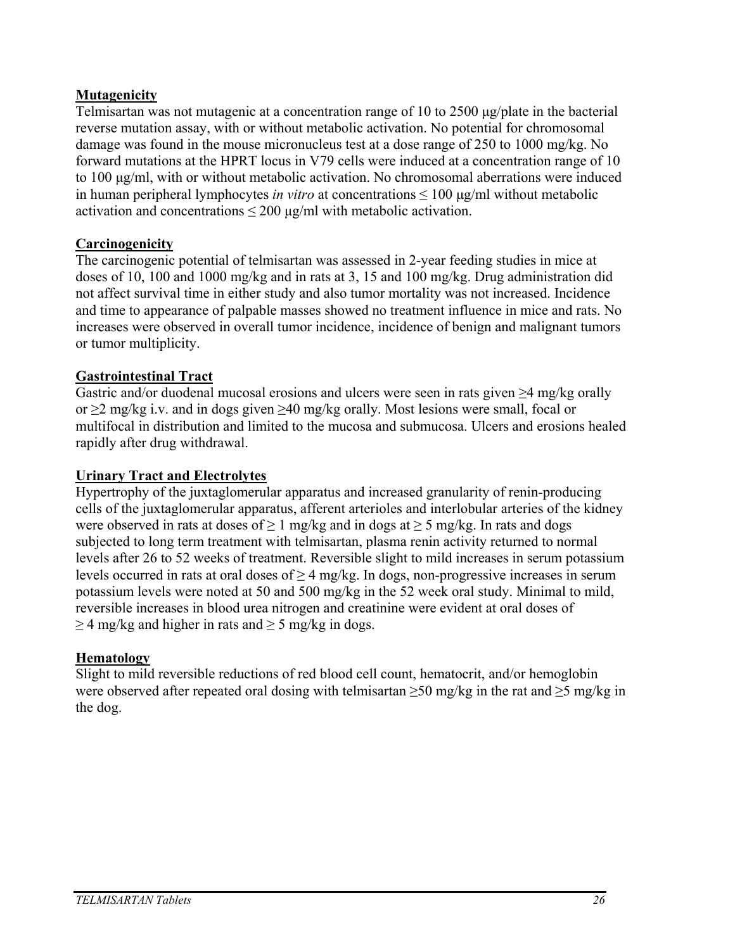# **Mutagenicity**

Telmisartan was not mutagenic at a concentration range of 10 to 2500 μg/plate in the bacterial reverse mutation assay, with or without metabolic activation. No potential for chromosomal damage was found in the mouse micronucleus test at a dose range of 250 to 1000 mg/kg. No forward mutations at the HPRT locus in V79 cells were induced at a concentration range of 10 to 100 μg/ml, with or without metabolic activation. No chromosomal aberrations were induced in human peripheral lymphocytes *in vitro* at concentrations ≤ 100 μg/ml without metabolic activation and concentrations  $\leq 200 \text{ µg/ml}$  with metabolic activation.

### **Carcinogenicity**

The carcinogenic potential of telmisartan was assessed in 2-year feeding studies in mice at doses of 10, 100 and 1000 mg/kg and in rats at 3, 15 and 100 mg/kg. Drug administration did not affect survival time in either study and also tumor mortality was not increased. Incidence and time to appearance of palpable masses showed no treatment influence in mice and rats. No increases were observed in overall tumor incidence, incidence of benign and malignant tumors or tumor multiplicity.

### **Gastrointestinal Tract**

Gastric and/or duodenal mucosal erosions and ulcers were seen in rats given  $\geq$ 4 mg/kg orally or ≥2 mg/kg i.v. and in dogs given ≥40 mg/kg orally. Most lesions were small, focal or multifocal in distribution and limited to the mucosa and submucosa. Ulcers and erosions healed rapidly after drug withdrawal.

#### **Urinary Tract and Electrolytes**

Hypertrophy of the juxtaglomerular apparatus and increased granularity of renin-producing cells of the juxtaglomerular apparatus, afferent arterioles and interlobular arteries of the kidney were observed in rats at doses of  $\geq 1$  mg/kg and in dogs at  $\geq 5$  mg/kg. In rats and dogs subjected to long term treatment with telmisartan, plasma renin activity returned to normal levels after 26 to 52 weeks of treatment. Reversible slight to mild increases in serum potassium levels occurred in rats at oral doses of  $\geq$  4 mg/kg. In dogs, non-progressive increases in serum potassium levels were noted at 50 and 500 mg/kg in the 52 week oral study. Minimal to mild, reversible increases in blood urea nitrogen and creatinine were evident at oral doses of  $\geq$  4 mg/kg and higher in rats and  $\geq$  5 mg/kg in dogs.

#### **Hematology**

Slight to mild reversible reductions of red blood cell count, hematocrit, and/or hemoglobin were observed after repeated oral dosing with telmisartan  $\geq 50$  mg/kg in the rat and  $\geq 5$  mg/kg in the dog.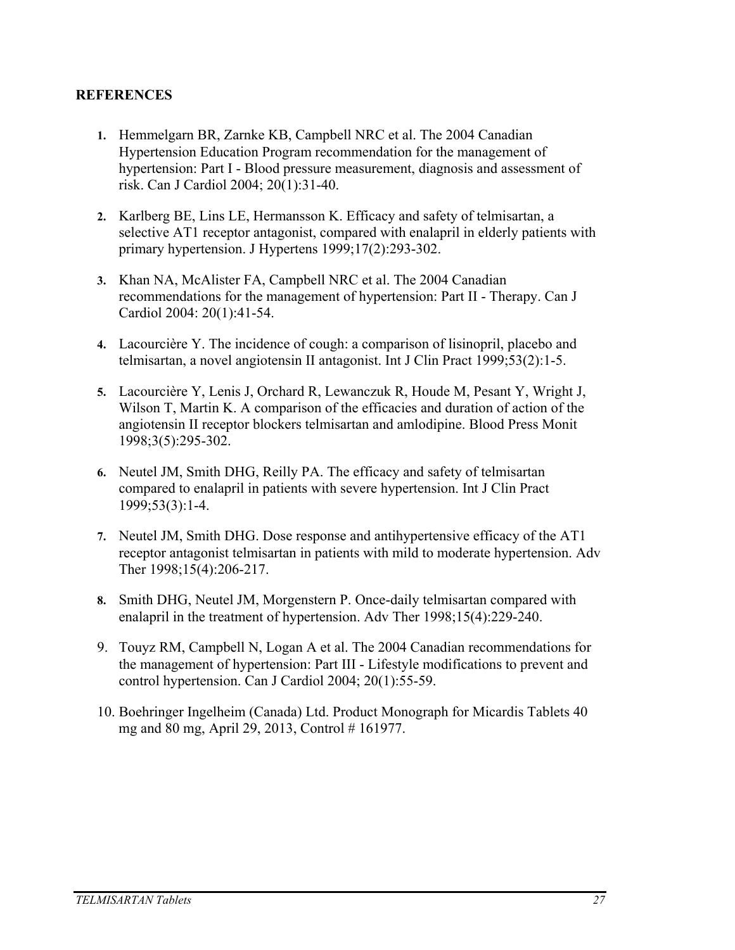#### **REFERENCES**

- **1.** Hemmelgarn BR, Zarnke KB, Campbell NRC et al. The 2004 Canadian Hypertension Education Program recommendation for the management of hypertension: Part I - Blood pressure measurement, diagnosis and assessment of risk. Can J Cardiol 2004; 20(1):31-40.
- **2.** Karlberg BE, Lins LE, Hermansson K. Efficacy and safety of telmisartan, a selective AT1 receptor antagonist, compared with enalapril in elderly patients with primary hypertension. J Hypertens 1999;17(2):293-302.
- **3.** Khan NA, McAlister FA, Campbell NRC et al. The 2004 Canadian recommendations for the management of hypertension: Part II - Therapy. Can J Cardiol 2004: 20(1):41-54.
- **4.** Lacourcière Y. The incidence of cough: a comparison of lisinopril, placebo and telmisartan, a novel angiotensin II antagonist. Int J Clin Pract 1999;53(2):1-5.
- **5.** Lacourcière Y, Lenis J, Orchard R, Lewanczuk R, Houde M, Pesant Y, Wright J, Wilson T, Martin K. A comparison of the efficacies and duration of action of the angiotensin II receptor blockers telmisartan and amlodipine. Blood Press Monit 1998;3(5):295-302.
- **6.** Neutel JM, Smith DHG, Reilly PA. The efficacy and safety of telmisartan compared to enalapril in patients with severe hypertension. Int J Clin Pract 1999;53(3):1-4.
- **7.** Neutel JM, Smith DHG. Dose response and antihypertensive efficacy of the AT1 receptor antagonist telmisartan in patients with mild to moderate hypertension. Adv Ther 1998;15(4):206-217.
- **8.** Smith DHG, Neutel JM, Morgenstern P. Once-daily telmisartan compared with enalapril in the treatment of hypertension. Adv Ther 1998;15(4):229-240.
- 9. Touyz RM, Campbell N, Logan A et al. The 2004 Canadian recommendations for the management of hypertension: Part III - Lifestyle modifications to prevent and control hypertension. Can J Cardiol 2004; 20(1):55-59.
- 10. Boehringer Ingelheim (Canada) Ltd. Product Monograph for Micardis Tablets 40 mg and 80 mg, April 29, 2013, Control # 161977.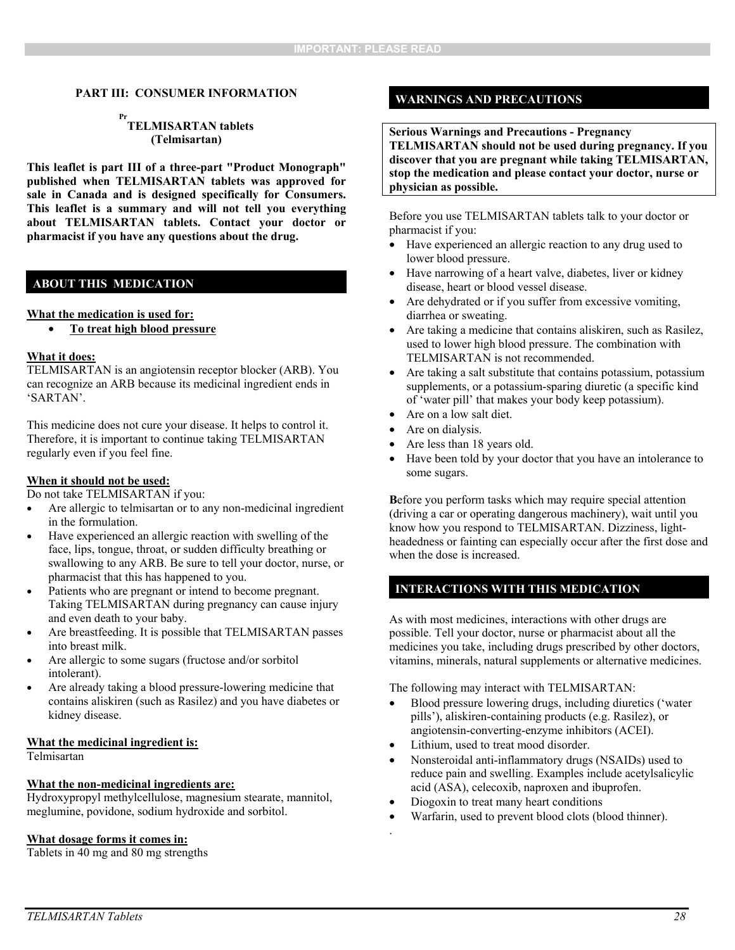#### **PART III: CONSUMER INFORMATION**

#### **Pr TELMISARTAN tablets (Telmisartan)**

**This leaflet is part III of a three-part "Product Monograph" published when TELMISARTAN tablets was approved for sale in Canada and is designed specifically for Consumers. This leaflet is a summary and will not tell you everything about TELMISARTAN tablets. Contact your doctor or pharmacist if you have any questions about the drug.** 

#### **ABOUT THIS MEDICATION**

#### **What the medication is used for:**

• **To treat high blood pressure** 

#### **What it does:**

TELMISARTAN is an angiotensin receptor blocker (ARB). You can recognize an ARB because its medicinal ingredient ends in 'SARTAN'.

This medicine does not cure your disease. It helps to control it. Therefore, it is important to continue taking TELMISARTAN regularly even if you feel fine.

#### **When it should not be used:**

Do not take TELMISARTAN if you:

- Are allergic to telmisartan or to any non-medicinal ingredient in the formulation.
- Have experienced an allergic reaction with swelling of the face, lips, tongue, throat, or sudden difficulty breathing or swallowing to any ARB. Be sure to tell your doctor, nurse, or pharmacist that this has happened to you.
- Patients who are pregnant or intend to become pregnant. Taking TELMISARTAN during pregnancy can cause injury and even death to your baby.
- Are breastfeeding. It is possible that TELMISARTAN passes into breast milk.
- Are allergic to some sugars (fructose and/or sorbitol intolerant).
- Are already taking a blood pressure-lowering medicine that contains aliskiren (such as Rasilez) and you have diabetes or kidney disease.

#### **What the medicinal ingredient is:**

Telmisartan

#### **What the non-medicinal ingredients are:**

Hydroxypropyl methylcellulose, magnesium stearate, mannitol, meglumine, povidone, sodium hydroxide and sorbitol.

#### **What dosage forms it comes in:**

Tablets in 40 mg and 80 mg strengths

#### **WARNINGS AND PRECAUTIONS**

#### **Serious Warnings and Precautions - Pregnancy TELMISARTAN should not be used during pregnancy. If you discover that you are pregnant while taking TELMISARTAN, stop the medication and please contact your doctor, nurse or physician as possible.**

Before you use TELMISARTAN tablets talk to your doctor or pharmacist if you:

- Have experienced an allergic reaction to any drug used to lower blood pressure.
- Have narrowing of a heart valve, diabetes, liver or kidney disease, heart or blood vessel disease.
- Are dehydrated or if you suffer from excessive vomiting, diarrhea or sweating.
- Are taking a medicine that contains aliskiren, such as Rasilez, used to lower high blood pressure. The combination with TELMISARTAN is not recommended.
- Are taking a salt substitute that contains potassium, potassium supplements, or a potassium-sparing diuretic (a specific kind of 'water pill' that makes your body keep potassium).
- Are on a low salt diet.
- Are on dialysis.
- Are less than 18 years old.
- Have been told by your doctor that you have an intolerance to some sugars.

**B**efore you perform tasks which may require special attention (driving a car or operating dangerous machinery), wait until you know how you respond to TELMISARTAN. Dizziness, lightheadedness or fainting can especially occur after the first dose and when the dose is increased.

#### **INTERACTIONS WITH THIS MEDICATION**

As with most medicines, interactions with other drugs are possible. Tell your doctor, nurse or pharmacist about all the medicines you take, including drugs prescribed by other doctors, vitamins, minerals, natural supplements or alternative medicines.

The following may interact with TELMISARTAN:

- Blood pressure lowering drugs, including diuretics ('water pills'), aliskiren-containing products (e.g. Rasilez), or angiotensin-converting-enzyme inhibitors (ACEI).
- Lithium, used to treat mood disorder.
- Nonsteroidal anti-inflammatory drugs (NSAIDs) used to reduce pain and swelling. Examples include acetylsalicylic acid (ASA), celecoxib, naproxen and ibuprofen.
- Diogoxin to treat many heart conditions
- Warfarin, used to prevent blood clots (blood thinner).
- .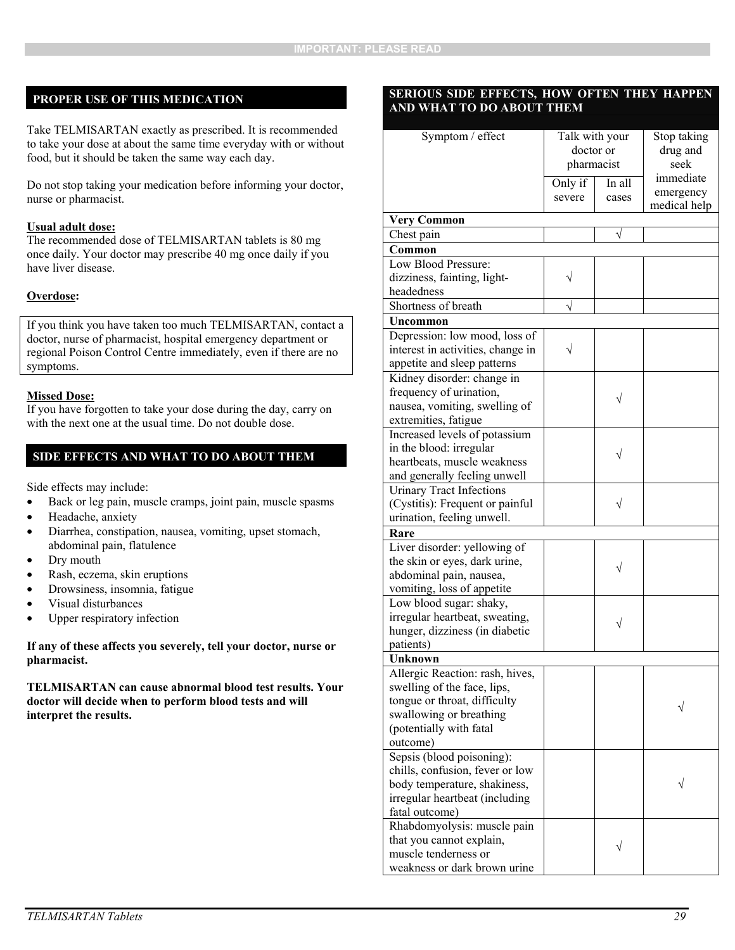#### **PROPER USE OF THIS MEDICATION**

Take TELMISARTAN exactly as prescribed. It is recommended to take your dose at about the same time everyday with or without food, but it should be taken the same way each day.

Do not stop taking your medication before informing your doctor, nurse or pharmacist.

#### **Usual adult dose:**

The recommended dose of TELMISARTAN tablets is 80 mg once daily. Your doctor may prescribe 40 mg once daily if you have liver disease.

#### **Overdose:**

If you think you have taken too much TELMISARTAN, contact a doctor, nurse of pharmacist, hospital emergency department or regional Poison Control Centre immediately, even if there are no symptoms.

#### **Missed Dose:**

If you have forgotten to take your dose during the day, carry on with the next one at the usual time. Do not double dose.

#### **SIDE EFFECTS AND WHAT TO DO ABOUT THEM**

Side effects may include:

- Back or leg pain, muscle cramps, joint pain, muscle spasms
- Headache, anxiety
- Diarrhea, constipation, nausea, vomiting, upset stomach, abdominal pain, flatulence
- Dry mouth
- Rash, eczema, skin eruptions
- Drowsiness, insomnia, fatigue
- Visual disturbances
- Upper respiratory infection

**If any of these affects you severely, tell your doctor, nurse or pharmacist.** 

**TELMISARTAN can cause abnormal blood test results. Your doctor will decide when to perform blood tests and will interpret the results.** 

#### **SERIOUS SIDE EFFECTS, HOW OFTEN THEY HAPPEN AND WHAT TO DO ABOUT THEM**

| Symptom / effect                  | Talk with your |        | Stop taking  |
|-----------------------------------|----------------|--------|--------------|
|                                   | doctor or      |        | drug and     |
|                                   | pharmacist     |        | seek         |
|                                   | Only if        | In all | immediate    |
|                                   | severe         | cases  | emergency    |
|                                   |                |        | medical help |
| <b>Very Common</b>                |                |        |              |
| Chest pain                        |                |        |              |
| Common                            |                |        |              |
| Low Blood Pressure:               |                |        |              |
| dizziness, fainting, light-       |                |        |              |
| headedness                        |                |        |              |
| Shortness of breath               |                |        |              |
| Uncommon                          |                |        |              |
| Depression: low mood, loss of     |                |        |              |
| interest in activities, change in |                |        |              |
| appetite and sleep patterns       |                |        |              |
| Kidney disorder: change in        |                |        |              |
| frequency of urination,           |                |        |              |
| nausea, vomiting, swelling of     |                |        |              |
| extremities, fatigue              |                |        |              |
| Increased levels of potassium     |                |        |              |
| in the blood: irregular           |                |        |              |
| heartbeats, muscle weakness       |                |        |              |
| and generally feeling unwell      |                |        |              |
| <b>Urinary Tract Infections</b>   |                |        |              |
| (Cystitis): Frequent or painful   |                |        |              |
| urination, feeling unwell.        |                |        |              |
| Rare                              |                |        |              |
| Liver disorder: yellowing of      |                |        |              |
| the skin or eyes, dark urine,     |                |        |              |
| abdominal pain, nausea,           |                |        |              |
| vomiting, loss of appetite        |                |        |              |
| Low blood sugar: shaky,           |                |        |              |
| irregular heartbeat, sweating,    |                |        |              |
| hunger, dizziness (in diabetic    |                |        |              |
| patients)                         |                |        |              |
| Unknown                           |                |        |              |
| Allergic Reaction: rash, hives,   |                |        |              |
| swelling of the face, lips,       |                |        |              |
| tongue or throat, difficulty      |                |        |              |
| swallowing or breathing           |                |        |              |
| (potentially with fatal           |                |        |              |
| outcome)                          |                |        |              |
| Sepsis (blood poisoning):         |                |        |              |
| chills, confusion, fever or low   |                |        |              |
| body temperature, shakiness,      |                |        |              |
| irregular heartbeat (including    |                |        |              |
| fatal outcome)                    |                |        |              |
| Rhabdomyolysis: muscle pain       |                |        |              |
| that you cannot explain,          |                |        |              |
| muscle tenderness or              |                |        |              |
| weakness or dark brown urine      |                |        |              |